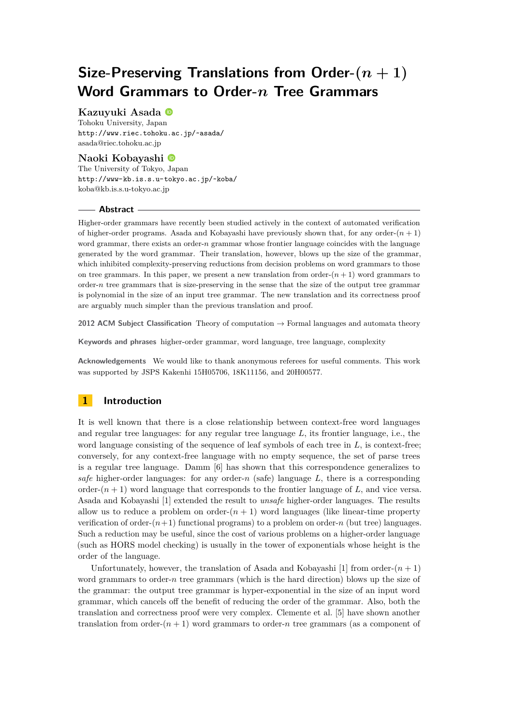# **Size-Preserving Translations from Order-(***n* **+ 1) Word Grammars to Order-***n* **Tree Grammars**

# **Kazuyuki Asada**

Tohoku University, Japan <http://www.riec.tohoku.ac.jp/~asada/> [asada@riec.tohoku.ac.jp](mailto:asada@riec.tohoku.ac.jp )

### **Naoki Kobayashi**

The University of Tokyo, Japan <http://www-kb.is.s.u-tokyo.ac.jp/~koba/> [koba@kb.is.s.u-tokyo.ac.jp](mailto:koba@kb.is.s.u-tokyo.ac.jp )

#### **Abstract**

Higher-order grammars have recently been studied actively in the context of automated verification of higher-order programs. Asada and Kobayashi have previously shown that, for any order- $(n + 1)$ word grammar, there exists an order-*n* grammar whose frontier language coincides with the language generated by the word grammar. Their translation, however, blows up the size of the grammar, which inhibited complexity-preserving reductions from decision problems on word grammars to those on tree grammars. In this paper, we present a new translation from order- $(n + 1)$  word grammars to order-*n* tree grammars that is size-preserving in the sense that the size of the output tree grammar is polynomial in the size of an input tree grammar. The new translation and its correctness proof are arguably much simpler than the previous translation and proof.

**2012 ACM Subject Classification** Theory of computation → Formal languages and automata theory

**Keywords and phrases** higher-order grammar, word language, tree language, complexity

**Acknowledgements** We would like to thank anonymous referees for useful comments. This work was supported by JSPS Kakenhi 15H05706, 18K11156, and 20H00577.

# **1 Introduction**

It is well known that there is a close relationship between context-free word languages and regular tree languages: for any regular tree language *L*, its frontier language, i.e., the word language consisting of the sequence of leaf symbols of each tree in L, is context-free; conversely, for any context-free language with no empty sequence, the set of parse trees is a regular tree language. Damm [\[6\]](#page-16-0) has shown that this correspondence generalizes to *safe* higher-order languages: for any order-*n* (safe) language *L*, there is a corresponding order- $(n + 1)$  word language that corresponds to the frontier language of *L*, and vice versa. Asada and Kobayashi [\[1\]](#page-15-0) extended the result to *unsafe* higher-order languages. The results allow us to reduce a problem on order- $(n + 1)$  word languages (like linear-time property verification of order- $(n+1)$  functional programs) to a problem on order-*n* (but tree) languages. Such a reduction may be useful, since the cost of various problems on a higher-order language (such as HORS model checking) is usually in the tower of exponentials whose height is the order of the language.

Unfortunately, however, the translation of Asada and Kobayashi [\[1\]](#page-15-0) from order- $(n + 1)$ word grammars to order-*n* tree grammars (which is the hard direction) blows up the size of the grammar: the output tree grammar is hyper-exponential in the size of an input word grammar, which cancels off the benefit of reducing the order of the grammar. Also, both the translation and correctness proof were very complex. Clemente et al. [\[5\]](#page-16-1) have shown another translation from order- $(n + 1)$  word grammars to order-*n* tree grammars (as a component of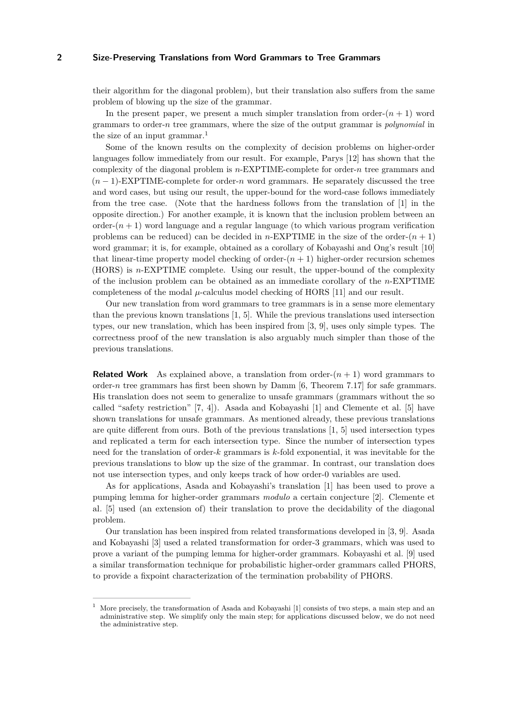their algorithm for the diagonal problem), but their translation also suffers from the same problem of blowing up the size of the grammar.

In the present paper, we present a much simpler translation from order- $(n + 1)$  word grammars to order-*n* tree grammars, where the size of the output grammar is *polynomial* in the size of an input grammar.<sup>[1](#page-1-0)</sup>

Some of the known results on the complexity of decision problems on higher-order languages follow immediately from our result. For example, Parys [\[12\]](#page-16-2) has shown that the complexity of the diagonal problem is *n*-EXPTIME-complete for order-*n* tree grammars and (*n* − 1)-EXPTIME-complete for order-*n* word grammars. He separately discussed the tree and word cases, but using our result, the upper-bound for the word-case follows immediately from the tree case. (Note that the hardness follows from the translation of [\[1\]](#page-15-0) in the opposite direction.) For another example, it is known that the inclusion problem between an order- $(n+1)$  word language and a regular language (to which various program verification problems can be reduced) can be decided in *n*-EXPTIME in the size of the order- $(n + 1)$ word grammar; it is, for example, obtained as a corollary of Kobayashi and Ong's result [\[10\]](#page-16-3) that linear-time property model checking of order- $(n + 1)$  higher-order recursion schemes (HORS) is *n*-EXPTIME complete. Using our result, the upper-bound of the complexity of the inclusion problem can be obtained as an immediate corollary of the *n*-EXPTIME completeness of the modal  $\mu$ -calculus model checking of HORS [\[11\]](#page-16-4) and our result.

Our new translation from word grammars to tree grammars is in a sense more elementary than the previous known translations [\[1,](#page-15-0) [5\]](#page-16-1). While the previous translations used intersection types, our new translation, which has been inspired from [\[3,](#page-15-1) [9\]](#page-16-5), uses only simple types. The correctness proof of the new translation is also arguably much simpler than those of the previous translations.

**Related Work** As explained above, a translation from order- $(n + 1)$  word grammars to order-*n* tree grammars has first been shown by Damm [\[6,](#page-16-0) Theorem 7.17] for safe grammars. His translation does not seem to generalize to unsafe grammars (grammars without the so called "safety restriction" [\[7,](#page-16-6) [4\]](#page-16-7)). Asada and Kobayashi [\[1\]](#page-15-0) and Clemente et al. [\[5\]](#page-16-1) have shown translations for unsafe grammars. As mentioned already, these previous translations are quite different from ours. Both of the previous translations [\[1,](#page-15-0) [5\]](#page-16-1) used intersection types and replicated a term for each intersection type. Since the number of intersection types need for the translation of order-*k* grammars is *k*-fold exponential, it was inevitable for the previous translations to blow up the size of the grammar. In contrast, our translation does not use intersection types, and only keeps track of how order-0 variables are used.

As for applications, Asada and Kobayashi's translation [\[1\]](#page-15-0) has been used to prove a pumping lemma for higher-order grammars *modulo* a certain conjecture [\[2\]](#page-15-2). Clemente et al. [\[5\]](#page-16-1) used (an extension of) their translation to prove the decidability of the diagonal problem.

Our translation has been inspired from related transformations developed in [\[3,](#page-15-1) [9\]](#page-16-5). Asada and Kobayashi [\[3\]](#page-15-1) used a related transformation for order-3 grammars, which was used to prove a variant of the pumping lemma for higher-order grammars. Kobayashi et al. [\[9\]](#page-16-5) used a similar transformation technique for probabilistic higher-order grammars called PHORS, to provide a fixpoint characterization of the termination probability of PHORS.

<span id="page-1-0"></span>More precisely, the transformation of Asada and Kobayashi [\[1\]](#page-15-0) consists of two steps, a main step and an administrative step. We simplify only the main step; for applications discussed below, we do not need the administrative step.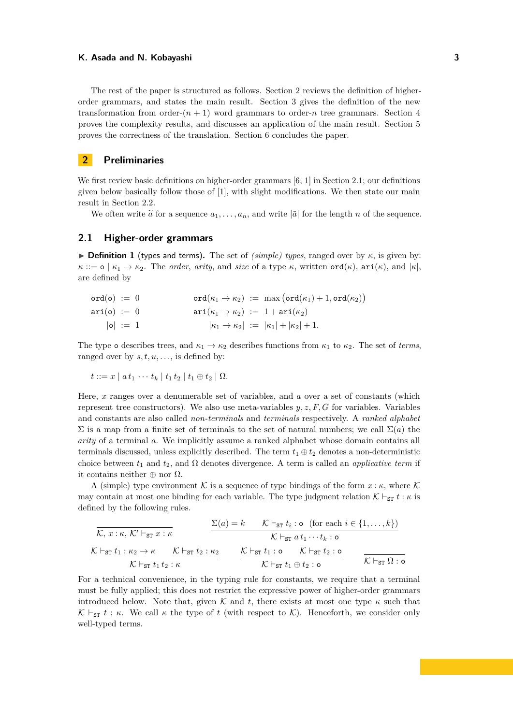The rest of the paper is structured as follows. Section [2](#page-2-0) reviews the definition of higherorder grammars, and states the main result. Section [3](#page-5-0) gives the definition of the new transformation from order- $(n + 1)$  word grammars to order-*n* tree grammars. Section [4](#page-9-0) proves the complexity results, and discusses an application of the main result. Section [5](#page-11-0) proves the correctness of the translation. Section [6](#page-15-3) concludes the paper.

# <span id="page-2-0"></span>**2 Preliminaries**

We first review basic definitions on higher-order grammars [\[6,](#page-16-0) [1\]](#page-15-0) in Section [2.1;](#page-2-1) our definitions given below basically follow those of [\[1\]](#page-15-0), with slight modifications. We then state our main result in Section [2.2.](#page-4-0)

We often write  $\tilde{a}$  for a sequence  $a_1, \ldots, a_n$ , and write  $|\tilde{a}|$  for the length *n* of the sequence.

### <span id="page-2-1"></span>**2.1 Higher-order grammars**

**Definition 1** (types and terms). The set of *(simple) types*, ranged over by  $\kappa$ , is given by:  $\kappa ::= \mathsf{o} \mid \kappa_1 \to \kappa_2$ . The *order*, *arity*, and *size* of a type  $\kappa$ , written  $\mathsf{ord}(\kappa)$ ,  $\mathsf{ari}(\kappa)$ , and  $|\kappa|$ , are defined by

| $ord(o) := 0$ | $\text{ord}(\kappa_1 \to \kappa_2) := \max(\text{ord}(\kappa_1) + 1, \text{ord}(\kappa_2))$ |
|---------------|---------------------------------------------------------------------------------------------|
| $ari(o) := 0$ | $\ari(\kappa_1 \rightarrow \kappa_2) := 1 + \ari(\kappa_2)$                                 |
| $ 0  := 1$    | $ \kappa_1 \to \kappa_2  :=  \kappa_1  +  \kappa_2  + 1.$                                   |

The type o describes trees, and  $\kappa_1 \to \kappa_2$  describes functions from  $\kappa_1$  to  $\kappa_2$ . The set of *terms*, ranged over by  $s, t, u, \ldots$ , is defined by:

$$
t ::= x \mid a \, t_1 \, \cdots \, t_k \mid t_1 \, t_2 \mid t_1 \oplus t_2 \mid \Omega.
$$

Here, *x* ranges over a denumerable set of variables, and *a* over a set of constants (which represent tree constructors). We also use meta-variables *y, z, F, G* for variables. Variables and constants are also called *non-terminals* and *terminals* respectively. A *ranked alphabet*  $\Sigma$  is a map from a finite set of terminals to the set of natural numbers; we call  $\Sigma(a)$  the *arity* of a terminal *a*. We implicitly assume a ranked alphabet whose domain contains all terminals discussed, unless explicitly described. The term  $t_1 \oplus t_2$  denotes a non-deterministic choice between  $t_1$  and  $t_2$ , and  $\Omega$  denotes divergence. A term is called an *applicative term* if it contains neither  $\oplus$  nor  $\Omega$ .

A (simple) type environment K is a sequence of type bindings of the form  $x : \kappa$ , where K may contain at most one binding for each variable. The type judgment relation  $K \vdash_{ST} t : \kappa$  is defined by the following rules.

$$
\frac{\Sigma(a) = k \qquad \mathcal{K} \vdash_{\text{ST}} t_i : o \text{ (for each } i \in \{1, \dots, k\})}{\mathcal{K} \vdash_{\text{ST}} t_1 : \kappa_2 \to \kappa \qquad \mathcal{K} \vdash_{\text{ST}} t_2 : \kappa_2} \qquad \frac{\mathcal{K} \vdash_{\text{ST}} t_i : o \quad (\text{for each } i \in \{1, \dots, k\})}{\mathcal{K} \vdash_{\text{ST}} t_1 : o \qquad \mathcal{K} \vdash_{\text{ST}} t_2 : o} \qquad \frac{\mathcal{K} \vdash_{\text{ST}} t_1 : o \qquad \mathcal{K} \vdash_{\text{ST}} t_2 : o}{\mathcal{K} \vdash_{\text{ST}} t_1 \oplus t_2 : o} \qquad \frac{\mathcal{K} \vdash_{\text{ST}} t_1 : o \qquad \mathcal{K} \vdash_{\text{ST}} t_2 : o}{\mathcal{K} \vdash_{\text{ST}} \Omega : o}
$$

For a technical convenience, in the typing rule for constants, we require that a terminal must be fully applied; this does not restrict the expressive power of higher-order grammars introduced below. Note that, given K and t, there exists at most one type  $\kappa$  such that  $\mathcal{K} \vdash_{ST} t : \kappa$ . We call  $\kappa$  the type of t (with respect to  $\mathcal{K}$ ). Henceforth, we consider only well-typed terms.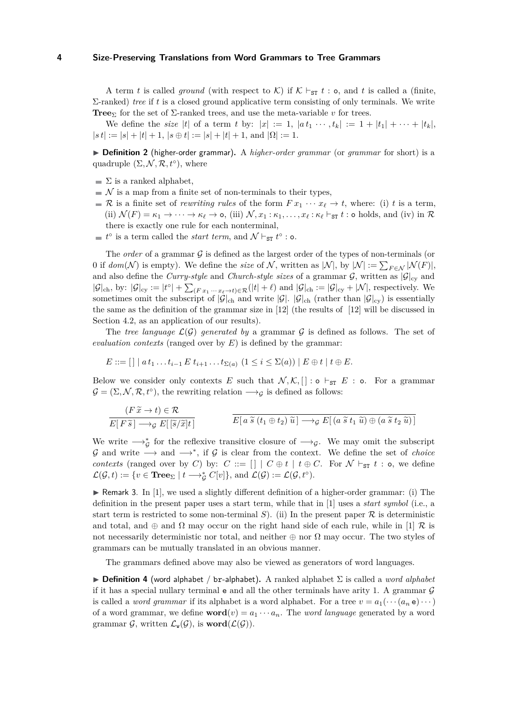A term *t* is called *ground* (with respect to K) if  $K \vdash_{ST} t : o$ , and *t* is called a (finite, Σ-ranked) *tree* if *t* is a closed ground applicative term consisting of only terminals. We write **Tree**<sub>Σ</sub> for the set of  $\Sigma$ -ranked trees, and use the meta-variable *v* for trees.

We define the *size* |*t*| of a term *t* by:  $|x| := 1$ ,  $|a t_1 \cdots t_k| := 1 + |t_1| + \cdots + |t_k|$ ,  $|st| := |s| + |t| + 1$ ,  $|s \oplus t| := |s| + |t| + 1$ , and  $|\Omega| := 1$ .

▶ **Definition 2** (higher-order grammar). A *higher-order grammar* (or *grammar* for short) is a quadruple  $(\Sigma, \mathcal{N}, \mathcal{R}, t^{\circ})$ , where

- $\blacksquare$  Σ is a ranked alphabet,
- $\mathcal N$  is a map from a finite set of non-terminals to their types,
- R is a finite set of *rewriting rules* of the form  $Fx_1 \cdots x_\ell \rightarrow t$ , where: (i) *t* is a term, (ii)  $\mathcal{N}(F) = \kappa_1 \to \cdots \to \kappa_\ell \to \infty$ , (iii)  $\mathcal{N}, x_1 : \kappa_1, \ldots, x_\ell : \kappa_\ell \vdash_{\mathtt{ST}} t : \mathtt{o}$  holds, and (iv) in  $\mathcal{R}$ there is exactly one rule for each nonterminal,
- $t^{\circ}$  is a term called the *start term*, and  $\mathcal{N} \vdash_{\texttt{ST}} t^{\circ}$  : o.

The *order* of a grammar  $\mathcal G$  is defined as the largest order of the types of non-terminals (or 0 if  $dom(\mathcal{N})$  is empty). We define the *size* of  $\mathcal{N}$ , written as  $|\mathcal{N}|$ , by  $|\mathcal{N}| := \sum_{F \in \mathcal{N}} |\mathcal{N}(F)|$ , and also define the *Curry-style* and *Church-style sizes* of a grammar  $G$ , written as  $|G|_{cy}$  and  $|\mathcal{G}|_{\text{ch}}$ , by:  $|\mathcal{G}|_{\text{cy}} := |t^{\circ}| + \sum_{(F x_1 \cdots x_\ell \to t) \in \mathcal{R}} (|t| + \ell)$  and  $|\mathcal{G}|_{\text{ch}} := |\mathcal{G}|_{\text{cy}} + |\mathcal{N}|$ , respectively. We sometimes omit the subscript of  $|\mathcal{G}|_{ch}$  and write  $|\mathcal{G}|_{ch}$  (rather than  $|\mathcal{G}|_{cv}$ ) is essentially the same as the definition of the grammar size in [\[12\]](#page-16-2) (the results of [\[12\]](#page-16-2) will be discussed in Section [4.2,](#page-11-1) as an application of our results).

The *tree language*  $\mathcal{L}(\mathcal{G})$  generated by a grammar  $\mathcal{G}$  is defined as follows. The set of *evaluation contexts* (ranged over by  $E$ ) is defined by the grammar:

$$
E ::= [] | a t1 \dots ti-1 E ti+1 \dots t\Sigma(a) (1 \leq i \leq \Sigma(a)) | E \oplus t | t \oplus E.
$$

Below we consider only contexts *E* such that  $\mathcal{N}, \mathcal{K}, [] : \circ \vdash_{ST} E : \circ$ . For a grammar  $\mathcal{G} = (\Sigma, \mathcal{N}, \mathcal{R}, t^{\circ})$ , the rewriting relation  $\longrightarrow_{\mathcal{G}}$  is defined as follows:

$$
\frac{(F\widetilde{x} \to t) \in \mathcal{R}}{E[F\widetilde{s}] \to_{\mathcal{G}} E[\widetilde{s}/\widetilde{x}]t]}
$$
\n
$$
\overline{E[a\widetilde{s}(t_1 \oplus t_2) \widetilde{u}] \to_{\mathcal{G}} E[(a\widetilde{s}t_1 \widetilde{u}) \oplus (a\widetilde{s}t_2 \widetilde{u})]}
$$

We write  $\longrightarrow_{\mathcal{G}}^*$  for the reflexive transitive closure of  $\longrightarrow_{\mathcal{G}}$ . We may omit the subscript  $\mathcal G$  and write  $\longrightarrow$  and  $\longrightarrow^*$ , if  $\mathcal G$  is clear from the context. We define the set of *choice contexts* (ranged over by *C*) by:  $C := [] | C \oplus t | t \oplus C$ . For  $N \vdash_{ST} t : o$ , we define  $\mathcal{L}(\mathcal{G}, t) := \{ v \in \mathbf{Tree}_{\Sigma} \mid t \longrightarrow_{\mathcal{G}}^* C[v] \}, \text{ and } \mathcal{L}(\mathcal{G}) := \mathcal{L}(\mathcal{G}, t^{\circ}).$ 

**F** Remark 3. In [\[1\]](#page-15-0), we used a slightly different definition of a higher-order grammar: (i) The definition in the present paper uses a start term, while that in [\[1\]](#page-15-0) uses a *start symbol* (i.e., a start term is restricted to some non-terminal *S*). (ii) In the present paper  $\mathcal R$  is deterministic and total, and  $\oplus$  and  $\Omega$  may occur on the right hand side of each rule, while in [\[1\]](#page-15-0) R is not necessarily deterministic nor total, and neither  $\oplus$  nor  $\Omega$  may occur. The two styles of grammars can be mutually translated in an obvious manner.

The grammars defined above may also be viewed as generators of word languages.

 $\triangleright$  **Definition 4** (word alphabet / br-alphabet). A ranked alphabet  $\Sigma$  is called a *word alphabet* if it has a special nullary terminal  $e$  and all the other terminals have arity 1. A grammar  $\mathcal G$ is called a *word grammar* if its alphabet is a word alphabet. For a tree  $v = a_1(\cdots(a_n e) \cdots)$ of a word grammar, we define  $word(v) = a_1 \cdots a_n$ . The *word language* generated by a word grammar  $\mathcal{G}$ , written  $\mathcal{L}_{\mathbf{w}}(\mathcal{G})$ , is **word**( $\mathcal{L}(\mathcal{G})$ ).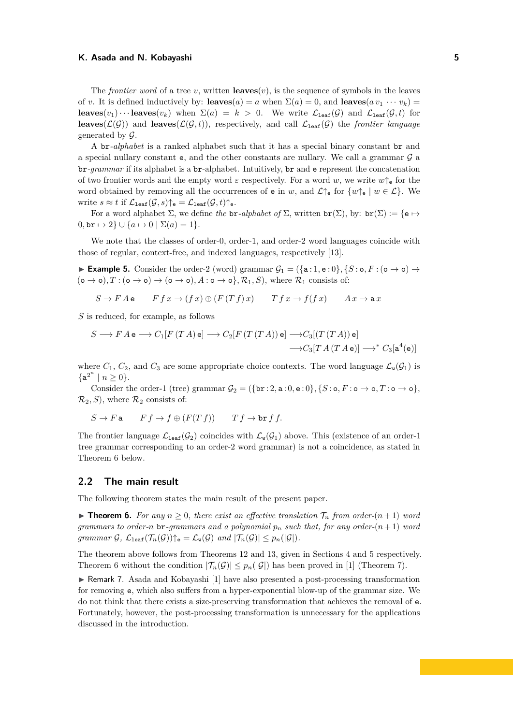The *frontier word* of a tree *v*, written **leaves** $(v)$ , is the sequence of symbols in the leaves of *v*. It is defined inductively by: **leaves**(*a*) = *a* when  $\Sigma(a) = 0$ , and **leaves**( $av_1 \cdots v_k$ ) = **leaves**( $v_1$ )···**leaves**( $v_k$ ) when  $\Sigma(a) = k > 0$ . We write  $\mathcal{L}_{\text{leaf}}(\mathcal{G})$  and  $\mathcal{L}_{\text{leaf}}(\mathcal{G}, t)$  for **leaves**( $\mathcal{L}(\mathcal{G})$ ) and **leaves**( $\mathcal{L}(\mathcal{G}, t)$ ), respectively, and call  $\mathcal{L}_{\text{leaf}}(\mathcal{G})$  the *frontier language* generated by  $\mathcal{G}$ .

A br*-alphabet* is a ranked alphabet such that it has a special binary constant br and a special nullary constant  ${\sf e},$  and the other constants are nullary. We call a grammar  ${\mathcal G}$  a br*-grammar* if its alphabet is a br-alphabet. Intuitively, br and e represent the concatenation of two frontier words and the empty word  $\varepsilon$  respectively. For a word *w*, we write  $w\uparrow_{\mathbf{e}}$  for the word obtained by removing all the occurrences of **e** in *w*, and  $\mathcal{L}\uparrow$  for  $\{w\uparrow$   $|w \in \mathcal{L}\}\.$  We write  $s \approx t$  if  $\mathcal{L}_{\text{leaf}}(\mathcal{G}, s) \uparrow_{\text{e}} = \mathcal{L}_{\text{leaf}}(\mathcal{G}, t) \uparrow_{\text{e}}$ .

For a word alphabet  $\Sigma$ , we define *the* br-*alphabet of*  $\Sigma$ , written br( $\Sigma$ ), by: br( $\Sigma$ ) := {e  $\mapsto$  $0,$  br  $\mapsto$  2}  $\cup$  { $a \mapsto 0$  |  $\Sigma(a) = 1$  }.

We note that the classes of order-0, order-1, and order-2 word languages coincide with those of regular, context-free, and indexed languages, respectively [\[13\]](#page-16-8).

<span id="page-4-2"></span>**► Example 5.** Consider the order-2 (word) grammar  $\mathcal{G}_1 = (\{a : 1, e : 0\}, \{S : 0, F : (o \rightarrow o) \rightarrow \emptyset\})$  $(\circ \rightarrow \circ), T : (\circ \rightarrow \circ) \rightarrow (\circ \rightarrow \circ), A : \circ \rightarrow \circ$ *, R*<sub>1</sub>*, S)*, where *R*<sub>1</sub> consists of:

$$
S \to F A e \qquad F f x \to (f x) \oplus (F (T f) x) \qquad T f x \to f (f x) \qquad A x \to a x
$$

*S* is reduced, for example, as follows

$$
S \longrightarrow F A \mathbf{e} \longrightarrow C_1[F (TA) \mathbf{e}] \longrightarrow C_2[F (T (TA)) \mathbf{e}] \longrightarrow C_3[(T (TA)) \mathbf{e}]
$$

$$
\longrightarrow C_3[T A (T A \mathbf{e})] \longrightarrow^* C_3[\mathbf{a}^4(\mathbf{e})]
$$

where  $C_1$ ,  $C_2$ , and  $C_3$  are some appropriate choice contexts. The word language  $\mathcal{L}_{\mathbf{w}}(\mathcal{G}_1)$  is  ${a^{2^n} | n \geq 0}.$ 

Consider the order-1 (tree) grammar  $\mathcal{G}_2 = {\text{for } 2, \text{a}: 0, \text{e}: 0}, {S : \text{o}, F : \text{o} \to \text{o}, T : \text{o} \to \text{o}}$ *,*  $\mathcal{R}_2$ , S), where  $\mathcal{R}_2$  consists of:

$$
S \to F \mathbf{a} \qquad F f \to f \oplus (F(T f)) \qquad T f \to \mathbf{br} f f.
$$

The frontier language  $\mathcal{L}_{\text{leaf}}(\mathcal{G}_2)$  coincides with  $\mathcal{L}_{\text{w}}(\mathcal{G}_1)$  above. This (existence of an order-1 tree grammar corresponding to an order-2 word grammar) is not a coincidence, as stated in Theorem [6](#page-4-1) below.

### <span id="page-4-0"></span>**2.2 The main result**

<span id="page-4-1"></span>The following theorem states the main result of the present paper.

▶ **Theorem 6.** For any  $n \ge 0$ , there exist an effective translation  $\mathcal{T}_n$  from order- $(n+1)$  word *grammars to order-n* br-grammars and a polynomial  $p_n$  such that, for any order- $(n+1)$  word *grammar*  $G$ *,*  $\mathcal{L}_{\text{leaf}}(\mathcal{T}_n(\mathcal{G}))\uparrow_{\text{e}} = \mathcal{L}_{\text{w}}(\mathcal{G})$  *and*  $|\mathcal{T}_n(\mathcal{G})| \leq p_n(|\mathcal{G}|)$ *.* 

The theorem above follows from Theorems [12](#page-10-0) and [13,](#page-11-2) given in Sections [4](#page-9-0) and [5](#page-11-0) respectively. Theorem [6](#page-4-1) without the condition  $|\mathcal{T}_n(\mathcal{G})| \leq p_n(|\mathcal{G}|)$  has been proved in [\[1\]](#page-15-0) (Theorem 7).

► Remark 7. Asada and Kobayashi [\[1\]](#page-15-0) have also presented a post-processing transformation for removing e, which also suffers from a hyper-exponential blow-up of the grammar size. We do not think that there exists a size-preserving transformation that achieves the removal of e. Fortunately, however, the post-processing transformation is unnecessary for the applications discussed in the introduction.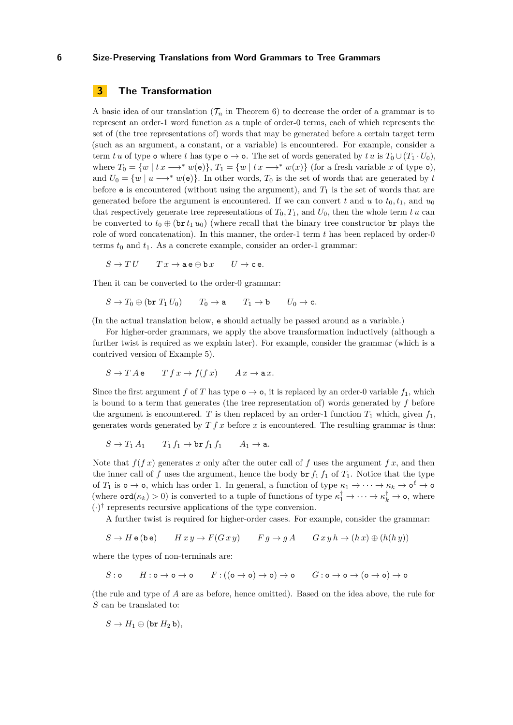# <span id="page-5-0"></span>**3 The Transformation**

A basic idea of our translation  $(\mathcal{T}_n$  in Theorem [6\)](#page-4-1) to decrease the order of a grammar is to represent an order-1 word function as a tuple of order-0 terms, each of which represents the set of (the tree representations of) words that may be generated before a certain target term (such as an argument, a constant, or a variable) is encountered. For example, consider a term *tu* of type **o** where *t* has type **o**  $\rightarrow$  **o**. The set of words generated by *tu* is  $T_0 \cup (T_1 \cdot U_0)$ , where  $T_0 = \{w \mid tx \longrightarrow^* w(e)\}, T_1 = \{w \mid tx \longrightarrow^* w(x)\}$  (for a fresh variable *x* of type o), and  $U_0 = \{w \mid u \longrightarrow^* w(e)\}.$  In other words,  $T_0$  is the set of words that are generated by *t* before  $e$  is encountered (without using the argument), and  $T_1$  is the set of words that are generated before the argument is encountered. If we can convert t and u to  $t_0, t_1$ , and  $u_0$ that respectively generate tree representations of  $T_0, T_1$ , and  $U_0$ , then the whole term  $t u$  can be converted to  $t_0 \oplus (\text{br } t_1 u_0)$  (where recall that the binary tree constructor br plays the role of word concatenation). In this manner, the order-1 term t has been replaced by order-0 terms  $t_0$  and  $t_1$ . As a concrete example, consider an order-1 grammar:

 $S \to TU$   $T x \to a e \oplus b x$   $U \to c e$ .

Then it can be converted to the order-0 grammar:

$$
S \to T_0 \oplus (\texttt{br } T_1 \, U_0) \qquad T_0 \to \texttt{a} \qquad T_1 \to \texttt{b} \qquad U_0 \to \texttt{c}.
$$

(In the actual translation below, e should actually be passed around as a variable.)

For higher-order grammars, we apply the above transformation inductively (although a further twist is required as we explain later). For example, consider the grammar (which is a contrived version of Example [5\)](#page-4-2).

$$
S \to T A e \qquad T f x \to f(f x) \qquad A x \to a x.
$$

Since the first argument *f* of *T* has type  $o \rightarrow o$ , it is replaced by an order-0 variable  $f_1$ , which is bound to a term that generates (the tree representation of) words generated by *f* before the argument is encountered. *T* is then replaced by an order-1 function  $T_1$  which, given  $f_1$ , generates words generated by *T f x* before *x* is encountered. The resulting grammar is thus:

$$
S \to T_1 A_1 \qquad T_1 f_1 \to \text{br } f_1 f_1 \qquad A_1 \to \text{a}.
$$

Note that  $f(f x)$  generates x only after the outer call of f uses the argument  $f x$ , and then the inner call of f uses the argument, hence the body  $\mathbf{b} \mathbf{r} f_1 f_1$  of  $T_1$ . Notice that the type of  $T_1$  is  $\circ \to \circ$ , which has order 1. In general, a function of type  $\kappa_1 \to \cdots \to \kappa_k \to \circ^\ell \to \circ$ (where  $\text{ord}(\kappa_k) > 0$ ) is converted to a tuple of functions of type  $\kappa_1^{\dagger} \to \cdots \to \kappa_k^{\dagger} \to \infty$ , where  $(\cdot)^\dagger$  represents recursive applications of the type conversion.

A further twist is required for higher-order cases. For example, consider the grammar:

$$
S \to H \cdot (\mathtt{be}) \qquad H \cdot x \cdot y \to F(G \cdot x \cdot y) \qquad F \cdot g \to g \cdot A \qquad G \cdot x \cdot y \cdot h \to (h \cdot x) \oplus (h(h \cdot y))
$$

where the types of non-terminals are:

$$
S: \text{o} \qquad H: \text{o} \to \text{o} \to \text{o} \qquad F: ((\text{o} \to \text{o}) \to \text{o}) \to \text{o} \qquad G: \text{o} \to \text{o} \to (\text{o} \to \text{o}) \to \text{o}
$$

(the rule and type of *A* are as before, hence omitted). Based on the idea above, the rule for *S* can be translated to:

$$
S\to H_1\oplus (\text{br }H_2\,\text{b}),
$$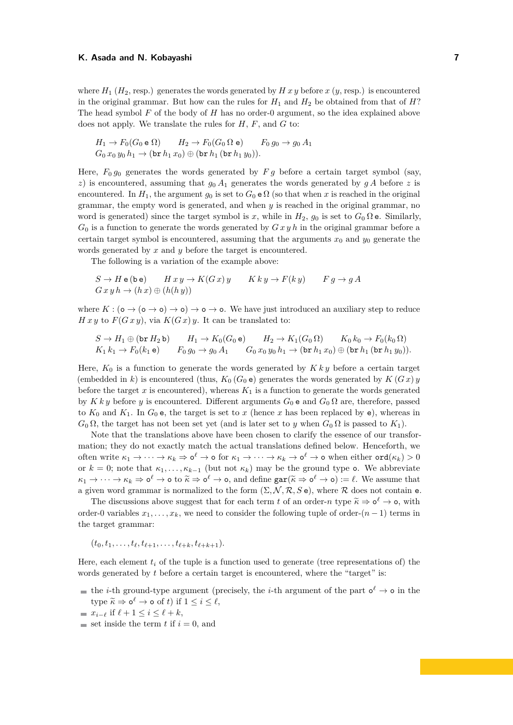where  $H_1$  ( $H_2$ , resp.) generates the words generated by  $H x y$  before  $x (y, \text{resp.})$  is encountered in the original grammar. But how can the rules for  $H_1$  and  $H_2$  be obtained from that of  $H$ ? The head symbol *F* of the body of *H* has no order-0 argument, so the idea explained above does not apply. We translate the rules for *H*, *F*, and *G* to:

$$
H_1 \to F_0(G_0 \mathbf{e} \Omega) \qquad H_2 \to F_0(G_0 \Omega \mathbf{e}) \qquad F_0 g_0 \to g_0 A_1
$$
  

$$
G_0 x_0 y_0 h_1 \to (\mathbf{br} h_1 x_0) \oplus (\mathbf{br} h_1 (\mathbf{br} h_1 y_0)).
$$

Here,  $F_0 g_0$  generates the words generated by  $F g$  before a certain target symbol (say, *z*) is encountered, assuming that  $g_0 A_1$  generates the words generated by  $g A$  before *z* is encountered. In  $H_1$ , the argument  $q_0$  is set to  $G_0 \in \Omega$  (so that when x is reached in the original grammar, the empty word is generated, and when *y* is reached in the original grammar, no word is generated) since the target symbol is x, while in  $H_2$ ,  $g_0$  is set to  $G_0 \Omega$  e. Similarly, *G*<sup>0</sup> is a function to generate the words generated by *G x y h* in the original grammar before a certain target symbol is encountered, assuming that the arguments  $x_0$  and  $y_0$  generate the words generated by *x* and *y* before the target is encountered.

The following is a variation of the example above:

$$
S \to H \mathbf{e} \text{ (be)} \qquad H \, x \, y \to K(G \, x) \, y \qquad K \, k \, y \to F(k \, y) \qquad F \, g \to g \, A
$$

$$
G \, x \, y \, h \to (h \, x) \oplus (h(h \, y))
$$

where  $K : (\circ \to (\circ \to \circ) \to \circ) \to \circ \to \circ$ . We have just introduced an auxiliary step to reduce *H x y* to  $F(Gxy)$ , via  $K(Gx)y$ . It can be translated to:

$$
S \to H_1 \oplus (\text{br } H_2 \text{ b}) \qquad H_1 \to K_0(G_0 \text{ e}) \qquad H_2 \to K_1(G_0 \Omega) \qquad K_0 k_0 \to F_0(k_0 \Omega)
$$
  

$$
K_1 k_1 \to F_0(k_1 \text{ e}) \qquad F_0 g_0 \to g_0 A_1 \qquad G_0 x_0 y_0 h_1 \to (\text{br } h_1 x_0) \oplus (\text{br } h_1 (\text{br } h_1 y_0)).
$$

Here,  $K_0$  is a function to generate the words generated by  $K k y$  before a certain target (embedded in *k*) is encountered (thus,  $K_0(G_0e)$  generates the words generated by  $K(Gx)y$ before the target  $x$  is encountered), whereas  $K_1$  is a function to generate the words generated by *K k y* before *y* is encountered. Different arguments  $G_0$  e and  $G_0 \Omega$  are, therefore, passed to  $K_0$  and  $K_1$ . In  $G_0$  e, the target is set to x (hence x has been replaced by e), whereas in *G*<sub>0</sub> Ω, the target has not been set yet (and is later set to *y* when  $G$ <sub>0</sub> Ω is passed to  $K$ <sub>1</sub>).

Note that the translations above have been chosen to clarify the essence of our transformation; they do not exactly match the actual translations defined below. Henceforth, we  $\text{often write } \kappa_1 \to \cdots \to \kappa_k \Rightarrow \text{o}^{\ell} \to \text{o} \text{ for } \kappa_1 \to \cdots \to \kappa_k \to \text{o}^{\ell} \to \text{o} \text{ when either } \text{ord}(\kappa_k) > 0$ or  $k = 0$ ; note that  $\kappa_1, \ldots, \kappa_{k-1}$  (but not  $\kappa_k$ ) may be the ground type **o**. We abbreviate  $\kappa_1 \to \cdots \to \kappa_k \Rightarrow \mathsf{o}^\ell \to \mathsf{o}$  to  $\tilde{\kappa} \Rightarrow \mathsf{o}^\ell \to \mathsf{o}$ , and define  $\text{gar}(\tilde{\kappa} \Rightarrow \mathsf{o}^\ell \to \mathsf{o}) := \ell$ . We assume that a given word grammar is normalized to the form  $(\Sigma, \mathcal{N}, \mathcal{R}, S e)$ , where  $\mathcal R$  does not contain e.

The discussions above suggest that for each term *t* of an order-*n* type  $\widetilde{\kappa} \Rightarrow \mathbf{o}^{\ell} \rightarrow \mathbf{o}$ , with order-0 variables  $x_1, \ldots, x_k$ , we need to consider the following tuple of order- $(n-1)$  terms in the target grammar:

 $(t_0, t_1, \ldots, t_\ell, t_{\ell+1}, \ldots, t_{\ell+k}, t_{\ell+k+1}).$ 

Here, each element  $t_i$  of the tuple is a function used to generate (tree representations of) the words generated by *t* before a certain target is encountered, where the "target" is:

the *i*-th ground-type argument (precisely, the *i*-th argument of the part  $o^{\ell} \rightarrow o$  in the type  $\widetilde{\kappa} \Rightarrow \mathsf{o}^{\ell} \to \mathsf{o}$  of *t*) if  $1 \leq i \leq \ell$ ,

 $\blacksquare$  set inside the term *t* if  $i = 0$ , and

 $\blacksquare$  *x*<sub>*i*− $\ell$ </sub> if  $\ell + 1 \leq i \leq \ell + k$ ,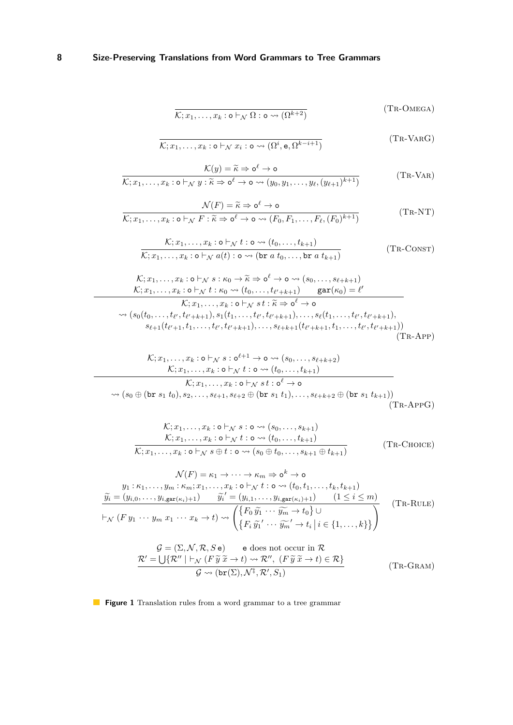$$
\overline{\mathcal{K};x_1,\ldots,x_k:\mathsf{o}\vdash_{\mathcal{N}}\Omega:\mathsf{o}\leadsto(\Omega^{k+2})}
$$
 (TR-OMEGA)

$$
\overline{\mathcal{K};x_1,\ldots,x_k:\mathsf{o}\vdash_{\mathcal{N}} x_i:\mathsf{o}\leadsto(\Omega^i,\mathsf{e},\Omega^{k-i+1})}
$$
 (TR-VARG)

<span id="page-7-0"></span>
$$
\frac{\mathcal{K}(y) = \widetilde{\kappa} \Rightarrow \mathsf{o}^{\ell} \to \mathsf{o}}{\mathcal{K}; x_1, \dots, x_k : \mathsf{o} \vdash_{\mathcal{N}} y : \widetilde{\kappa} \Rightarrow \mathsf{o}^{\ell} \to \mathsf{o} \leadsto (y_0, y_1, \dots, y_\ell, (y_{\ell+1})^{k+1})}
$$
(TR-VAR)

$$
\frac{\mathcal{N}(F) = \widetilde{\kappa} \Rightarrow \mathbf{o}^{\ell} \to \mathbf{o}}{\mathcal{K}; x_1, \dots, x_k : \mathbf{o} \vdash_{\mathcal{N}} F : \widetilde{\kappa} \Rightarrow \mathbf{o}^{\ell} \to \mathbf{o} \leadsto (F_0, F_1, \dots, F_{\ell}, (F_0)^{k+1})}
$$
(TR-NT)

$$
\frac{\mathcal{K}; x_1, \dots, x_k : \mathbf{o} \vdash_{\mathcal{N}} t : \mathbf{o} \leadsto (t_0, \dots, t_{k+1})}{\mathcal{K}; x_1, \dots, x_k : \mathbf{o} \vdash_{\mathcal{N}} a(t) : \mathbf{o} \leadsto (\mathbf{br} \ a \ t_0, \dots, \mathbf{br} \ a \ t_{k+1})}
$$
\n(TR-CONST)

$$
\mathcal{K}; x_1, \ldots, x_k : \mathbf{o} \vdash_{\mathcal{N}} s : \kappa_0 \to \widetilde{\kappa} \Rightarrow \mathbf{o}^{\ell} \to \mathbf{o} \leadsto (s_0, \ldots, s_{\ell+k+1}) \mathcal{K}; x_1, \ldots, x_k : \mathbf{o} \vdash_{\mathcal{N}} t : \kappa_0 \leadsto (t_0, \ldots, t_{\ell'+k+1}) \quad \text{gar}(\kappa_0) = \ell' \mathcal{K}; x_1, \ldots, x_k : \mathbf{o} \vdash_{\mathcal{N}} st : \widetilde{\kappa} \Rightarrow \mathbf{o}^{\ell} \to \mathbf{o} \n\leadsto (s_0(t_0, \ldots, t_{\ell'}, t_{\ell'+k+1}), s_1(t_1, \ldots, t_{\ell'}, t_{\ell'+k+1}), \ldots, s_{\ell}(t_1, \ldots, t_{\ell'}, t_{\ell'+k+1}), s_{\ell+1}(t_{\ell'+1}, t_1, \ldots, t_{\ell'}, t_{\ell'+k+1}), \ldots, s_{\ell+k+1}(t_{\ell'+k+1}, t_1, \ldots, t_{\ell'}, t_{\ell'+k+1}))
$$
(TR-APP)

$$
\mathcal{K}; x_1, \ldots, x_k : \mathbf{o} \vdash_N s : \mathbf{o}^{\ell+1} \to \mathbf{o} \leadsto (s_0, \ldots, s_{\ell+k+2})
$$
\n
$$
\mathcal{K}; x_1, \ldots, x_k : \mathbf{o} \vdash_N t : \mathbf{o} \leadsto (t_0, \ldots, t_{k+1})
$$
\n
$$
\mathcal{K}; x_1, \ldots, x_k : \mathbf{o} \vdash_N s t : \mathbf{o}^{\ell} \to \mathbf{o}
$$
\n
$$
\leadsto (s_0 \oplus (\text{br } s_1 t_0), s_2, \ldots, s_{\ell+1}, s_{\ell+2} \oplus (\text{br } s_1 t_1), \ldots, s_{\ell+k+2} \oplus (\text{br } s_1 t_{k+1}))
$$
\n(The-APPG)

$$
\mathcal{K}; x_1, \ldots, x_k : \mathbf{o} \vdash_{\mathcal{N}} s : \mathbf{o} \leadsto (s_0, \ldots, s_{k+1})
$$
\n
$$
\mathcal{K}; x_1, \ldots, x_k : \mathbf{o} \vdash_{\mathcal{N}} t : \mathbf{o} \leadsto (t_0, \ldots, t_{k+1})
$$
\n
$$
\mathcal{K}; x_1, \ldots, x_k : \mathbf{o} \vdash_{\mathcal{N}} s \oplus t : \mathbf{o} \leadsto (s_0 \oplus t_0, \ldots, s_{k+1} \oplus t_{k+1})
$$
\n
$$
(TR\text{-}\text{CHOICE})
$$

$$
\mathcal{N}(F) = \kappa_1 \to \cdots \to \kappa_m \Rightarrow \mathbf{o}^k \to \mathbf{o}
$$
\n
$$
y_1 : \kappa_1, \ldots, y_m : \kappa_m; x_1, \ldots, x_k : \mathbf{o} \vdash_{\mathcal{N}} t : \mathbf{o} \leadsto (t_0, t_1, \ldots, t_k, t_{k+1})
$$
\n
$$
\widetilde{y_i} = (y_{i,0}, \ldots, y_{i, \text{gar}(\kappa_i)+1}) \quad \widetilde{y_i}' = (y_{i,1}, \ldots, y_{i, \text{gar}(\kappa_i)+1}) \quad (1 \le i \le m)
$$
\n
$$
\vdash_{\mathcal{N}} (F y_1 \cdots y_m x_1 \cdots x_k \to t) \leadsto \begin{pmatrix} \{F_0 \widetilde{y_1} \cdots \widetilde{y_m} \to t_0\} \cup \\ \{F_i \widetilde{y_1}' \cdots \widetilde{y_m}' \to t_i \mid i \in \{1, \ldots, k\} \} \end{pmatrix}
$$
\n
$$
\mathcal{G} = (\Sigma, \mathcal{N}, \mathcal{R}, S \mathbf{e}) \quad \text{e does not occur in } \mathcal{R}
$$
\n
$$
\mathcal{R}' = \bigcup \{ \mathcal{R}'' \mid \vdash_{\mathcal{N}} (F \widetilde{y} \widetilde{x} \to t) \leadsto \mathcal{R}'' , (F \widetilde{y} \widetilde{x} \to t) \in \mathcal{R} \}
$$
\n
$$
\mathcal{G} \leadsto (\text{br}(\Sigma), \mathcal{N}^{\dagger}, \mathcal{R}', S_1)
$$
\n
$$
(TR-GRAM)
$$

**Figure 1** Translation rules from a word grammar to a tree grammar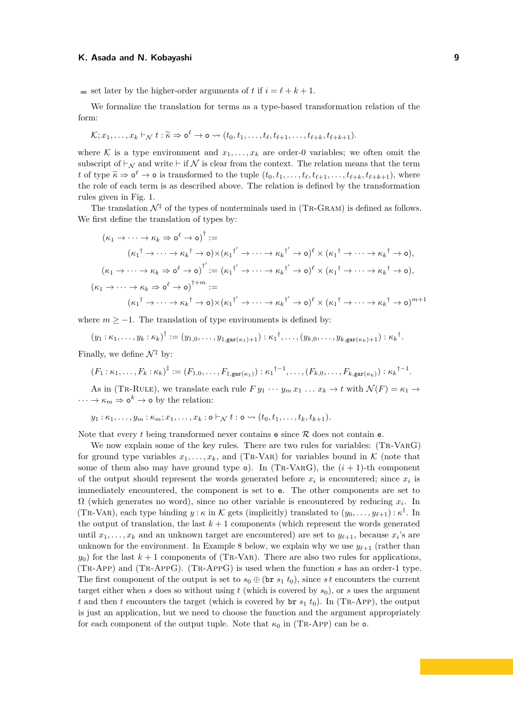$\blacksquare$  set later by the higher-order arguments of *t* if  $i = \ell + k + 1$ .

We formalize the translation for terms as a type-based transformation relation of the form:

$$
\mathcal{K}; x_1,\ldots,x_k \vdash_{\mathcal{N}} t : \widetilde{\kappa} \Rightarrow \mathsf{o}^{\ell} \to \mathsf{o} \rightsquigarrow (t_0,t_1,\ldots,t_{\ell},t_{\ell+1},\ldots,t_{\ell+k},t_{\ell+k+1}).
$$

where K is a type environment and  $x_1, \ldots, x_k$  are order-0 variables; we often omit the subscript of  $\vdash_{\mathcal{N}}$  and write  $\vdash$  if  $\mathcal{N}$  is clear from the context. The relation means that the term *t* of type  $\widetilde{\kappa} \Rightarrow o^{\ell} \rightarrow o$  is transformed to the tuple  $(t_0, t_1, \ldots, t_{\ell}, t_{\ell+1}, \ldots, t_{\ell+k}, t_{\ell+k+1}),$  where the role of each term is as described above. The relation is defined by the transformation rules given in Fig. [1.](#page-7-0)

The translation  $\mathcal{N}^{\ddagger}$  of the types of nonterminals used in (TR-GRAM) is defined as follows. We first define the translation of types by:

$$
(\kappa_1 \to \cdots \to \kappa_k \Rightarrow \mathbf{o}^{\ell} \to \mathbf{o})^{\dagger} :=
$$
  
\n
$$
(\kappa_1^{\dagger} \to \cdots \to \kappa_k^{\dagger} \to \mathbf{o}) \times (\kappa_1^{\dagger'} \to \cdots \to \kappa_k^{\dagger'} \to \mathbf{o})^{\ell} \times (\kappa_1^{\dagger} \to \cdots \to \kappa_k^{\dagger} \to \mathbf{o}),
$$
  
\n
$$
(\kappa_1 \to \cdots \to \kappa_k \Rightarrow \mathbf{o}^{\ell} \to \mathbf{o})^{\dagger'} := (\kappa_1^{\dagger'} \to \cdots \to \kappa_k^{\dagger'} \to \mathbf{o})^{\ell} \times (\kappa_1^{\dagger} \to \cdots \to \kappa_k^{\dagger} \to \mathbf{o}),
$$
  
\n
$$
(\kappa_1 \to \cdots \to \kappa_k \Rightarrow \mathbf{o}^{\ell} \to \mathbf{o})^{\dagger+m} :=
$$
  
\n
$$
(\kappa_1^{\dagger} \to \cdots \to \kappa_k^{\dagger} \to \mathbf{o}) \times (\kappa_1^{\dagger'} \to \cdots \to \kappa_k^{\dagger'} \to \mathbf{o})^{\ell} \times (\kappa_1^{\dagger} \to \cdots \to \kappa_k^{\dagger} \to \mathbf{o})^{m+1}
$$

where  $m > -1$ . The translation of type environments is defined by:

$$
(y_1 : \kappa_1, \ldots, y_k : \kappa_k)^{\dagger} := (y_{1,0}, \ldots, y_{1, \text{gar}(\kappa_1) + 1}) : \kappa_1^{\dagger}, \ldots, (y_{k,0}, \ldots, y_{k, \text{gar}(\kappa_k) + 1}) : \kappa_k^{\dagger}.
$$

Finally, we define  $\mathcal{N}^{\ddagger}$  by:

 $(F_1: \kappa_1, \ldots, F_k: \kappa_k)^{\ddagger} := (F_{1,0}, \ldots, F_{1, \text{gar}(\kappa_1)}) : \kappa_1^{\dagger - 1}, \ldots, (F_{k,0}, \ldots, F_{k, \text{gar}(\kappa_k)}) : \kappa_k^{\dagger - 1}.$ 

As in (TR-RULE), we translate each rule  $F y_1 \cdots y_m x_1 \ldots x_k \to t$  with  $\mathcal{N}(F) = \kappa_1 \to$  $\cdots \rightarrow \kappa_m \Rightarrow \mathsf{o}^k \rightarrow \mathsf{o}$  by the relation:

$$
y_1:\kappa_1,\ldots,y_m:\kappa_m;x_1,\ldots,x_k:\mathbf{o}\vdash_{\mathcal{N}}t:\mathbf{o}\leadsto(t_0,t_1,\ldots,t_k,t_{k+1}).
$$

Note that every *t* being transformed never contains  $\mathbf e$  since  $\mathcal R$  does not contain  $\mathbf e$ .

<span id="page-8-0"></span>We now explain some of the key rules. There are two rules for variables: (TR-VARG) for ground type variables  $x_1, \ldots, x_k$ , and (TR-VAR) for variables bound in K (note that some of them also may have ground type  $\circ$ ). In (TR-VARG), the  $(i + 1)$ -th component of the output should represent the words generated before  $x_i$  is encountered; since  $x_i$  is immediately encountered, the component is set to e. The other components are set to  $\Omega$  (which generates no word), since no other variable is encountered by reducing  $x_i$ . In (TR-VAR), each type binding  $y : \kappa$  in K gets (implicitly) translated to  $(y_0, \ldots, y_{\ell+1}) : \kappa^{\dagger}$ . In the output of translation, the last  $k+1$  components (which represent the words generated until  $x_1, \ldots, x_k$  and an unknown target are encountered) are set to  $y_{\ell+1}$ , because  $x_i$ 's are unknown for the environment. In Example [8](#page-8-0) below, we explain why we use  $y_{\ell+1}$  (rather than  $y_0$ ) for the last  $k+1$  components of (TR-VAR). There are also two rules for applications, (Tr-App) and (Tr-AppG). (Tr-AppG) is used when the function *s* has an order-1 type. The first component of the output is set to  $s_0 \oplus$  (br  $s_1 t_0$ ), since *st* encounters the current target either when *s* does so without using  $t$  (which is covered by  $s_0$ ), or *s* uses the argument *t* and then *t* encounters the target (which is covered by  $\mathbf{br} s_1 t_0$ ). In (TR-APP), the output is just an application, but we need to choose the function and the argument appropriately for each component of the output tuple. Note that  $\kappa_0$  in (TR-APP) can be **o**.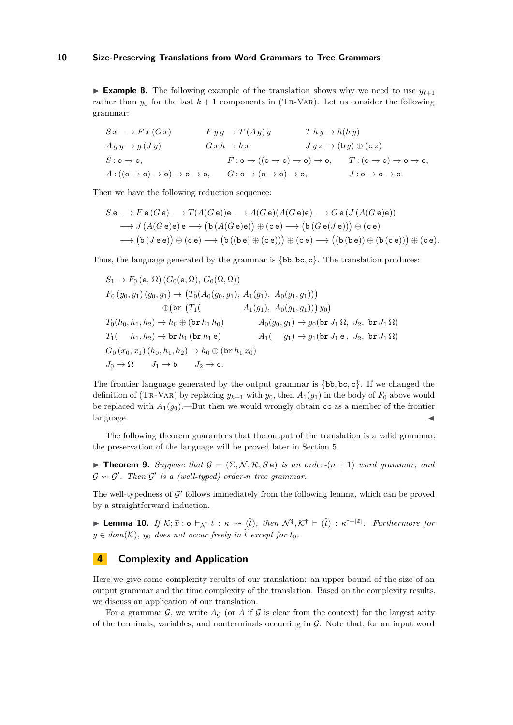**Example 8.** The following example of the translation shows why we need to use  $y_{\ell+1}$ rather than  $y_0$  for the last  $k + 1$  components in (TR-VAR). Let us consider the following grammar:

$$
Sx \rightarrow F x (G x)
$$
  
\n
$$
F y g \rightarrow T (Ag) y
$$
  
\n
$$
G x h \rightarrow h x
$$
  
\n
$$
S : \mathbf{o} \rightarrow \mathbf{o},
$$
  
\n
$$
F : \mathbf{o} \rightarrow ((\mathbf{o} \rightarrow \mathbf{o}) \rightarrow \mathbf{o}) \rightarrow \mathbf{o},
$$
  
\n
$$
F : \mathbf{o} \rightarrow ((\mathbf{o} \rightarrow \mathbf{o}) \rightarrow \mathbf{o}) \rightarrow \mathbf{o},
$$
  
\n
$$
F : \mathbf{o} \rightarrow ((\mathbf{o} \rightarrow \mathbf{o}) \rightarrow \mathbf{o}) \rightarrow \mathbf{o},
$$
  
\n
$$
T : (\mathbf{o} \rightarrow \mathbf{o}) \rightarrow \mathbf{o} \rightarrow \mathbf{o},
$$
  
\n
$$
T : (\mathbf{o} \rightarrow \mathbf{o}) \rightarrow \mathbf{o} \rightarrow \mathbf{o},
$$
  
\n
$$
T : (\mathbf{o} \rightarrow \mathbf{o}) \rightarrow \mathbf{o} \rightarrow \mathbf{o},
$$
  
\n
$$
T : (\mathbf{o} \rightarrow \mathbf{o}) \rightarrow \mathbf{o} \rightarrow \mathbf{o},
$$
  
\n
$$
T : (\mathbf{o} \rightarrow \mathbf{o}) \rightarrow \mathbf{o} \rightarrow \mathbf{o},
$$
  
\n
$$
T : (\mathbf{o} \rightarrow \mathbf{o}) \rightarrow \mathbf{o} \rightarrow \mathbf{o},
$$
  
\n
$$
T : (\mathbf{o} \rightarrow \mathbf{o}) \rightarrow \mathbf{o} \rightarrow \mathbf{o},
$$

Then we have the following reduction sequence:

$$
S \mathbf{e} \longrightarrow F \mathbf{e} (G \mathbf{e}) \longrightarrow T(A(G \mathbf{e})) \mathbf{e} \longrightarrow A(G \mathbf{e}) (A(G \mathbf{e}) \mathbf{e}) \longrightarrow G \mathbf{e} (J(A(G \mathbf{e}) \mathbf{e}))
$$
  
\n
$$
\longrightarrow J(A(G \mathbf{e}) \mathbf{e}) \mathbf{e} \longrightarrow (\mathbf{b} (A(G \mathbf{e}) \mathbf{e})) \oplus (\mathbf{c} \mathbf{e}) \longrightarrow (\mathbf{b} (G \mathbf{e} (J \mathbf{e}))) \oplus (\mathbf{c} \mathbf{e})
$$
  
\n
$$
\longrightarrow (\mathbf{b} (J \mathbf{e} \mathbf{e})) \oplus (\mathbf{c} \mathbf{e}) \longrightarrow (\mathbf{b} ((\mathbf{b} \mathbf{e}) \oplus (\mathbf{c} \mathbf{e}))) \oplus (\mathbf{c} \mathbf{e}) \longrightarrow ((\mathbf{b} (\mathbf{b} \mathbf{e})) \oplus (\mathbf{b} (\mathbf{c} \mathbf{e}))) \oplus (\mathbf{c} \mathbf{e}).
$$

Thus, the language generated by the grammar is {bb*,* bc*,* c}. The translation produces:

$$
S_1 \to F_0 (\mathbf{e}, \Omega) (G_0(\mathbf{e}, \Omega), G_0(\Omega, \Omega))
$$
  
\n
$$
F_0 (y_0, y_1) (g_0, g_1) \to (T_0(A_0(g_0, g_1), A_1(g_1), A_0(g_1, g_1)))
$$
  
\n
$$
\oplus (\mathbf{br} (T_1(\lambda_1, A_1(g_1), A_0(g_1, g_1))) g_0)
$$
  
\n
$$
T_0(h_0, h_1, h_2) \to h_0 \oplus (\mathbf{br} h_1 h_0)
$$
  
\n
$$
T_1(\lambda_1, h_2) \to \mathbf{br} h_1 (\mathbf{br} h_1 \mathbf{e})
$$
  
\n
$$
G_0 (x_0, x_1) (h_0, h_1, h_2) \to h_0 \oplus (\mathbf{br} h_1 x_0)
$$
  
\n
$$
J_0 \to \Omega
$$
  
\n
$$
J_1 \to \mathbf{b}
$$
  
\n
$$
J_2 \to \mathbf{c}.
$$

The frontier language generated by the output grammar is {bb*,* bc*,* c}. If we changed the definition of (TR-VAR) by replacing  $y_{k+1}$  with  $y_0$ , then  $A_1(g_1)$  in the body of  $F_0$  above would be replaced with  $A_1(g_0)$ .—But then we would wrongly obtain cc as a member of the frontier language.

The following theorem guarantees that the output of the translation is a valid grammar; the preservation of the language will be proved later in Section [5.](#page-11-0)

**Findment 9.** Suppose that  $G = (\Sigma, \mathcal{N}, \mathcal{R}, S e)$  is an order- $(n + 1)$  word grammar, and  $\mathcal{G} \rightsquigarrow \mathcal{G}'$ . Then  $\mathcal{G}'$  is a (well-typed) order-n tree grammar.

The well-typedness of  $\mathcal{G}'$  follows immediately from the following lemma, which can be proved by a straightforward induction.

<span id="page-9-1"></span>**Lemma 10.** *If*  $K; \tilde{x} : \mathfrak{o} \vdash_{\mathcal{N}} t : \kappa \leadsto (\tilde{t}),$  then  $\mathcal{N}^{\ddagger}, \mathcal{K}^{\dagger} \vdash (\tilde{t}) : \kappa^{\dagger + |\tilde{x}|}$ . Furthermore for  $y \in dom(\mathcal{K})$ ,  $y_0$  *does not occur freely in*  $\tilde{t}$  *except for*  $t_0$ *.* 

### <span id="page-9-0"></span>**4 Complexity and Application**

Here we give some complexity results of our translation: an upper bound of the size of an output grammar and the time complexity of the translation. Based on the complexity results, we discuss an application of our translation.

For a grammar  $\mathcal{G}$ , we write  $A_G$  (or  $A$  if  $\mathcal{G}$  is clear from the context) for the largest arity of the terminals, variables, and nonterminals occurring in  $G$ . Note that, for an input word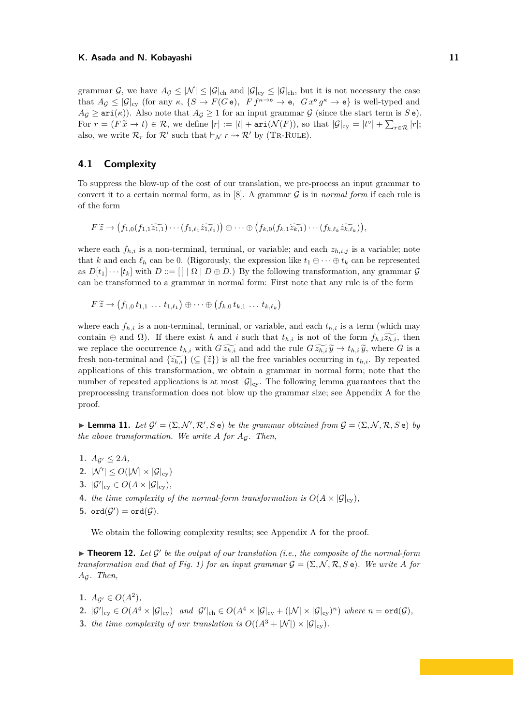grammar  $\mathcal{G}$ , we have  $A_{\mathcal{G}} \leq |\mathcal{N}| \leq |\mathcal{G}|_{ch}$  and  $|\mathcal{G}|_{cy} \leq |\mathcal{G}|_{ch}$ , but it is not necessary the case that  $A_{\mathcal{G}} \leq |\mathcal{G}|_{\text{cy}}$  (for any  $\kappa$ ,  $\{S \to F(G\,\mathsf{e}),\ Ff^{\kappa\to\mathsf{o}} \to \mathsf{e},\ Gx^{\mathsf{o}}g^{\kappa} \to \mathsf{e}\}\$ is well-typed and  $A_G \geq \arctan(K)$ . Also note that  $A_G \geq 1$  for an input grammar G (since the start term is S e). For  $r = (F\tilde{x} \to t) \in \mathcal{R}$ , we define  $|r| := |t| + \arin(\mathcal{N}(F))$ , so that  $|\mathcal{G}|_{\text{cy}} = |t^{\circ}| + \sum_{r \in \mathcal{R}} |r|$ ; also, we write  $\mathcal{R}_r$  for  $\mathcal{R}'$  such that  $\vdash_{\mathcal{N}} r \leadsto \mathcal{R}'$  by (TR-RULE).

# **4.1 Complexity**

To suppress the blow-up of the cost of our translation, we pre-process an input grammar to convert it to a certain normal form, as in [\[8\]](#page-16-9). A grammar G is in *normal form* if each rule is of the form

$$
F \widetilde{z} \to (f_{1,0}(f_{1,1} \widetilde{z_{1,1}}) \cdots (f_{1,\ell_1} \widetilde{z_{1,\ell_1}})) \oplus \cdots \oplus (f_{k,0}(f_{k,1} \widetilde{z_{k,1}}) \cdots (f_{k,\ell_k} \widetilde{z_{k,\ell_k}})),
$$

where each  $f_{h,i}$  is a non-terminal, terminal, or variable; and each  $z_{h,i,j}$  is a variable; note that *k* and each  $\ell_h$  can be 0. (Rigorously, the expression like  $t_1 \oplus \cdots \oplus t_k$  can be represented as  $D[t_1] \cdots [t_k]$  with  $D := [ | \Omega | D \oplus D]$  By the following transformation, any grammar G can be transformed to a grammar in normal form: First note that any rule is of the form

$$
F \widetilde{z} \rightarrow (f_{1,0} t_{1,1} \ldots t_{1,\ell_1}) \oplus \cdots \oplus (f_{k,0} t_{k,1} \ldots t_{k,\ell_k})
$$

where each  $f_{h,i}$  is a non-terminal, terminal, or variable, and each  $t_{h,i}$  is a term (which may contain  $\oplus$  and  $\Omega$ ). If there exist *h* and *i* such that  $t_{h,i}$  is not of the form  $f_{h,i}\widetilde{z_{h,i}}$ , then we replace the occurrence  $t_{h,i}$  with  $G \widetilde{z_{h,i}}$  and add the rule  $G \widetilde{z_{h,i}} \widetilde{y} \to t_{h,i} \widetilde{y}$ , where *G* is a fresh non-terminal and  $\{\widetilde{z_{h,i}}\}\subseteq \{\widetilde{z}\}\)$  is all the free variables occurring in  $t_{h,i}$ . By repeated applications of this transformation, we obtain a grammar in normal form; note that the number of repeated applications is at most  $|\mathcal{G}|_{\text{cy}}$ . The following lemma guarantees that the preprocessing transformation does not blow up the grammar size; see Appendix [A](#page-17-0) for the proof.

<span id="page-10-1"></span>**Example 11.** *Let*  $\mathcal{G}' = (\Sigma, \mathcal{N}', \mathcal{R}', S \cdot \mathbf{e})$  *be the grammar obtained from*  $\mathcal{G} = (\Sigma, \mathcal{N}, \mathcal{R}, S \cdot \mathbf{e})$  *by the above transformation. We write*  $A$  *for*  $A_G$ *. Then,* 

- <span id="page-10-3"></span><span id="page-10-2"></span>**1.**  $A_{G'} \leq 2A$ , 2.  $|\mathcal{N}'| \leq O(|\mathcal{N}| \times |\mathcal{G}|_{\text{cy}})$ **3.**  $|\mathcal{G}'|_{\text{cy}} \in O(A \times |\mathcal{G}|_{\text{cy}}),$
- <span id="page-10-5"></span><span id="page-10-4"></span>**4.** *the time complexity of the normal-form transformation is*  $O(A \times |G|_{cv})$ ,

<span id="page-10-6"></span>**5.** ord $(\mathcal{G}')$  = ord $(\mathcal{G})$ .

We obtain the following complexity results; see Appendix [A](#page-17-0) for the proof.

<span id="page-10-0"></span> $\blacktriangleright$  **Theorem 12.** Let  $\mathcal{G}'$  be the output of our translation (i.e., the composite of the normal-form *transformation and that of Fig. 1) for an input grammar*  $G = (\Sigma, \mathcal{N}, \mathcal{R}, S e)$ *. We write A for A*G*. Then,*

<span id="page-10-9"></span><span id="page-10-8"></span><span id="page-10-7"></span>**1.**  $A_{\mathcal{G}'} \in O(A^2)$ , **2.**  $|\mathcal{G}'|_{\text{cy}} \in O(A^4 \times |\mathcal{G}|_{\text{cy}})$  and  $|\mathcal{G}'|_{\text{ch}} \in O(A^4 \times |\mathcal{G}|_{\text{cy}} + (|\mathcal{N}| \times |\mathcal{G}|_{\text{cy}})^n)$  where  $n = \text{ord}(\mathcal{G})$ , **3.** *the time complexity of our translation is*  $O((A^3 + |N|) \times |G|_{\text{cv}})$ *.*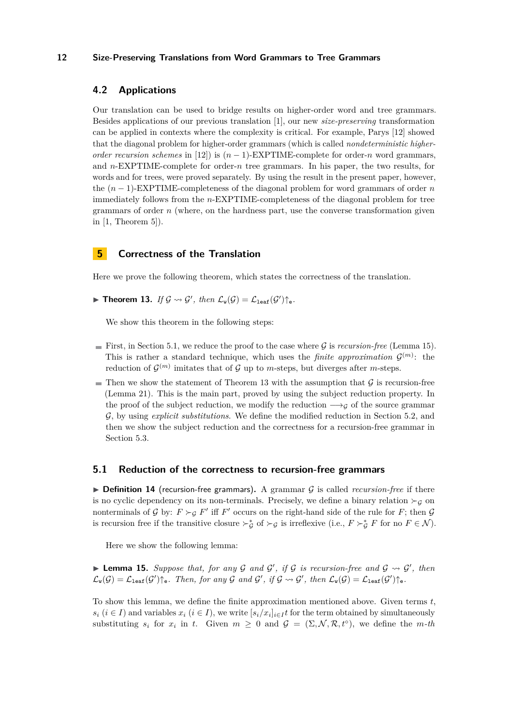# <span id="page-11-1"></span>**4.2 Applications**

Our translation can be used to bridge results on higher-order word and tree grammars. Besides applications of our previous translation [\[1\]](#page-15-0), our new *size-preserving* transformation can be applied in contexts where the complexity is critical. For example, Parys [\[12\]](#page-16-2) showed that the diagonal problem for higher-order grammars (which is called *nondeterministic higherorder recursion schemes* in [\[12\]](#page-16-2)) is  $(n - 1)$ -EXPTIME-complete for order-*n* word grammars, and *n*-EXPTIME-complete for order-*n* tree grammars. In his paper, the two results, for words and for trees, were proved separately. By using the result in the present paper, however, the (*n* − 1)-EXPTIME-completeness of the diagonal problem for word grammars of order *n* immediately follows from the *n*-EXPTIME-completeness of the diagonal problem for tree grammars of order *n* (where, on the hardness part, use the converse transformation given in  $[1,$  Theorem  $5$ ]).

# <span id="page-11-0"></span>**5 Correctness of the Translation**

<span id="page-11-2"></span>Here we prove the following theorem, which states the correctness of the translation.

**Find Theorem 13.** *If*  $\mathcal{G} \rightsquigarrow \mathcal{G}'$ , then  $\mathcal{L}_{w}(\mathcal{G}) = \mathcal{L}_{\text{leaf}}(\mathcal{G}')\uparrow_{e}$ .

We show this theorem in the following steps:

- First, in Section [5.1,](#page-11-3) we reduce the proof to the case where  $\mathcal G$  is *recursion-free* (Lemma [15\)](#page-11-4). This is rather a standard technique, which uses the *finite approximation*  $\mathcal{G}^{(m)}$ : the reduction of  $\mathcal{G}^{(m)}$  imitates that of  $\mathcal G$  up to *m*-steps, but diverges after *m*-steps.
- Then we show the statement of Theorem [13](#page-11-2) with the assumption that  $G$  is recursion-free (Lemma [21\)](#page-14-0). This is the main part, proved by using the subject reduction property. In the proof of the subject reduction, we modify the reduction  $\longrightarrow_{\mathcal{G}}$  of the source grammar G, by using *explicit substitutions*. We define the modified reduction in Section [5.2,](#page-13-0) and then we show the subject reduction and the correctness for a recursion-free grammar in Section [5.3.](#page-14-1)

### <span id="page-11-3"></span>**5.1 Reduction of the correctness to recursion-free grammars**

 $\triangleright$  **Definition 14** (recursion-free grammars). A grammar G is called *recursion-free* if there is no cyclic dependency on its non-terminals. Precisely, we define a binary relation  $\succ_g$  on nonterminals of G by:  $F \succ_G F'$  iff F' occurs on the right-hand side of the rule for F; then G is recursion free if the transitive closure  $\succ^*_{\mathcal{G}}$  of  $\succ_{\mathcal{G}}$  is irreflexive (i.e.,  $F \succ^*_{\mathcal{G}} F$  for no  $F \in \mathcal{N}$ ).

Here we show the following lemma:

<span id="page-11-4"></span>**Lemma 15.** Suppose that, for any G and  $\mathcal{G}'$ , if G is recursion-free and  $\mathcal{G} \rightsquigarrow \mathcal{G}'$ , then  $\mathcal{L}_{\mathbf{w}}(\mathcal{G}) = \mathcal{L}_{\texttt{leaf}}(\mathcal{G}')\hat{}_{\texttt{e}}$ . Then, for any  $\mathcal{G}$  and  $\mathcal{G}'$ , if  $\mathcal{G} \rightsquigarrow \mathcal{G}'$ , then  $\mathcal{L}_{\mathbf{w}}(\mathcal{G}) = \mathcal{L}_{\texttt{leaf}}(\mathcal{G}')\hat{}_{\texttt{e}}$ .

To show this lemma, we define the finite approximation mentioned above. Given terms *t*,  $s_i$  ( $i \in I$ ) and variables  $x_i$  ( $i \in I$ ), we write  $[s_i/x_i]_{i \in I}$  for the term obtained by simultaneously substituting  $s_i$  for  $x_i$  in  $t$ . Given  $m \geq 0$  and  $\mathcal{G} = (\Sigma, \mathcal{N}, \mathcal{R}, t^{\circ})$ , we define the *m-th*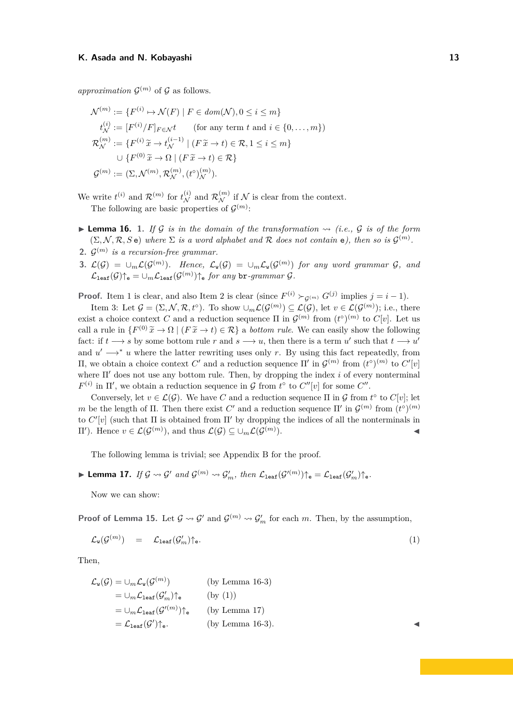approximation  $\mathcal{G}^{(m)}$  of  $\mathcal{G}$  as follows.

$$
\mathcal{N}^{(m)} := \{ F^{(i)} \mapsto \mathcal{N}(F) \mid F \in dom(\mathcal{N}), 0 \le i \le m \}
$$
  
\n
$$
t_{\mathcal{N}}^{(i)} := [F^{(i)}/F]_{F \in \mathcal{N}} t \qquad \text{(for any term } t \text{ and } i \in \{0, ..., m\})
$$
  
\n
$$
\mathcal{R}_{\mathcal{N}}^{(m)} := \{ F^{(i)} \widetilde{x} \to t_{\mathcal{N}}^{(i-1)} \mid (F \widetilde{x} \to t) \in \mathcal{R}, 1 \le i \le m \}
$$
  
\n
$$
\cup \{ F^{(0)} \widetilde{x} \to \Omega \mid (F \widetilde{x} \to t) \in \mathcal{R} \}
$$
  
\n
$$
\mathcal{G}^{(m)} := (\Sigma, \mathcal{N}^{(m)}, \mathcal{R}_{\mathcal{N}}^{(m)}, (t^{\circ})_{\mathcal{N}}^{(m)}).
$$

We write  $t^{(i)}$  and  $\mathcal{R}^{(m)}$  for  $t_{\mathcal{N}}^{(i)}$  and  $\mathcal{R}_{\mathcal{N}}^{(m)}$  if  $\mathcal{N}$  is clear from the context. The following are basic properties of  $\mathcal{G}^{(m)}$ :

- <span id="page-12-3"></span><span id="page-12-0"></span>**I Lemma 16.** 1. If G is in the domain of the transformation  $\rightsquigarrow$  (i.e., G is of the form  $(\Sigma, \mathcal{N}, \mathcal{R}, S)$  where  $\Sigma$  *is a word alphabet and*  $\mathcal{R}$  *does not contain* e), then so is  $\mathcal{G}^{(m)}$ .
- <span id="page-12-1"></span>**2.**  $\mathcal{G}^{(m)}$  is a recursion-free grammar.
- <span id="page-12-2"></span>**3.**  $\mathcal{L}(\mathcal{G}) = \cup_m \mathcal{L}(\mathcal{G}^{(m)})$ . Hence,  $\mathcal{L}_{w}(\mathcal{G}) = \cup_m \mathcal{L}_{w}(\mathcal{G}^{(m)})$  for any word grammar  $\mathcal{G}$ , and  $\mathcal{L}_{\texttt{leaf}}(\mathcal{G})\!\!\uparrow_\mathsf{e} = \cup_m \mathcal{L}_{\texttt{leaf}}(\mathcal{G}^{(m)})\!\!\uparrow_\mathsf{e} \textit{for any } \texttt{br-grammar } \mathcal{G}.$

**Proof.** Item [1](#page-12-0) is clear, and also Item [2](#page-12-1) is clear (since  $F^{(i)} \succ_{\mathcal{G}^{(m)}} G^{(j)}$  implies  $j = i - 1$ ).

Item [3:](#page-12-2) Let  $\mathcal{G} = (\Sigma, \mathcal{N}, \mathcal{R}, t^{\circ})$ . To show  $\cup_m \mathcal{L}(\mathcal{G}^{(m)}) \subseteq \mathcal{L}(\mathcal{G})$ , let  $v \in \mathcal{L}(\mathcal{G}^{(m)})$ ; i.e., there exist a choice context *C* and a reduction sequence  $\Pi$  in  $\mathcal{G}^{(m)}$  from  $(t^{\circ})^{(m)}$  to  $C[v]$ . Let us call a rule in  $\{F^{(0)}\tilde{x} \to \Omega \mid (F\tilde{x} \to t) \in \mathcal{R}\}$  a *bottom rule*. We can easily show the following fact: if  $t \rightarrow s$  by some bottom rule *r* and  $s \rightarrow u$ , then there is a term  $u'$  such that  $t \rightarrow u'$ and  $u' \rightarrow^* u$  where the latter rewriting uses only *r*. By using this fact repeatedly, from II, we obtain a choice context *C'* and a reduction sequence Π' in  $\mathcal{G}^{(m)}$  from  $(t^{\circ})^{(m)}$  to  $C'[v]$ where  $\Pi'$  does not use any bottom rule. Then, by dropping the index *i* of every nonterminal  $F^{(i)}$  in  $\Pi'$ , we obtain a reduction sequence in  $\mathcal G$  from  $t^{\circ}$  to  $C''[v]$  for some  $C''$ .

Conversely, let  $v \in \mathcal{L}(\mathcal{G})$ . We have *C* and a reduction sequence  $\Pi$  in  $\mathcal{G}$  from  $t^{\circ}$  to  $C[v]$ ; let *m* be the length of  $\Pi$ . Then there exist  $C'$  and a reduction sequence  $\Pi'$  in  $\mathcal{G}^{(m)}$  from  $(t^{\circ})^{(m)}$ to  $C'[v]$  (such that  $\Pi$  is obtained from  $\Pi'$  by dropping the indices of all the nonterminals in  $\Pi'$ ). Hence *v* ∈  $\mathcal{L}(\mathcal{G}^{(m)})$ , and thus  $\mathcal{L}(\mathcal{G}) \subseteq \bigcup_m \mathcal{L}(\mathcal{G}^{(m)})$  $\blacksquare$ ).

The following lemma is trivial; see Appendix [B](#page-19-0) for the proof.

<span id="page-12-5"></span>► Lemma 17. *If*  $\mathcal{G} \rightsquigarrow \mathcal{G}'$  and  $\mathcal{G}^{(m)} \rightsquigarrow \mathcal{G}'_m$ , then  $\mathcal{L}_{\texttt{leaf}}(\mathcal{G}'^{(m)})\mathcal{d}_{\texttt{e}} = \mathcal{L}_{\texttt{leaf}}(\mathcal{G}'_m)\mathcal{d}_{\texttt{e}}$ .

Now we can show:

**Proof of Lemma [15.](#page-11-4)** Let  $\mathcal{G} \rightsquigarrow \mathcal{G}'$  and  $\mathcal{G}^{(m)} \rightsquigarrow \mathcal{G}'_m$  for each *m*. Then, by the assumption,

$$
\mathcal{L}_{\mathbf{w}}(\mathcal{G}^{(m)}) = \mathcal{L}_{\text{leaf}}(\mathcal{G}'_m) \uparrow_{\mathbf{e}}.
$$
\n(1)

Then,

$$
\mathcal{L}_{\mathbf{w}}(\mathcal{G}) = \cup_{m} \mathcal{L}_{\mathbf{w}}(\mathcal{G}^{(m)})
$$
 (by Lemma 16-3)  
\n
$$
= \cup_{m} \mathcal{L}_{\text{leaf}}(\mathcal{G}'_{m}) \uparrow_{\mathbf{e}}
$$
 (by (1))  
\n
$$
= \cup_{m} \mathcal{L}_{\text{leaf}}(\mathcal{G}'^{(m)}) \uparrow_{\mathbf{e}}
$$
 (by Lemma 17)  
\n
$$
= \mathcal{L}_{\text{leaf}}(\mathcal{G}') \uparrow_{\mathbf{e}}.
$$
 (by Lemma 16-3).

<span id="page-12-4"></span>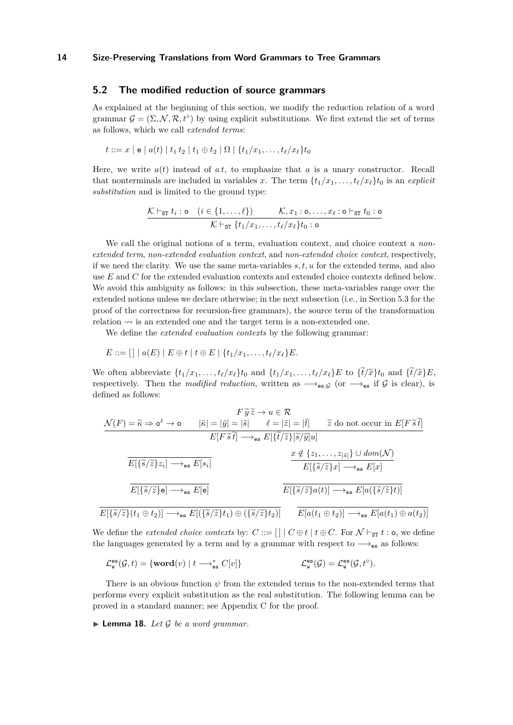### <span id="page-13-0"></span>**5.2 The modified reduction of source grammars**

As explained at the beginning of this section, we modify the reduction relation of a word grammar  $\mathcal{G} = (\Sigma, \mathcal{N}, \mathcal{R}, t^{\circ})$  by using explicit substitutions. We first extend the set of terms as follows, which we call *extended terms*:

$$
t ::= x \mid e \mid a(t) \mid t_1 t_2 \mid t_1 \oplus t_2 \mid \Omega \mid \{t_1/x_1, \ldots, t_\ell/x_\ell\} t_0
$$

Here, we write  $a(t)$  instead of  $a t$ , to emphasize that  $a$  is a unary constructor. Recall that nonterminals are included in variables x. The term  $\{t_1/x_1, \ldots, t_\ell/x_\ell\}$  is an *explicit substitution* and is limited to the ground type:

$$
\frac{\mathcal{K} \vdash_{\texttt{ST}} t_i : \texttt{o} \quad (i \in \{1, \dots, \ell\})}{\mathcal{K} \vdash_{\texttt{ST}} \{t_1/x_1, \dots, t_\ell/x_\ell\} t_0 : \texttt{o}}{\mathcal{K} \vdash_{\texttt{ST}} \{t_1/x_1, \dots, t_\ell/x_\ell\} t_0 : \texttt{o}}
$$

We call the original notions of a term, evaluation context, and choice context a *nonextended term*, *non-extended evaluation context*, and *non-extended choice context*, respectively, if we need the clarity. We use the same meta-variables *s, t, u* for the extended terms, and also use *E* and *C* for the extended evaluation contexts and extended choice contexts defined below. We avoid this ambiguity as follows: in this subsection, these meta-variables range over the extended notions unless we declare otherwise; in the next subsection (i.e., in Section [5.3](#page-14-1) for the proof of the correctness for recursion-free grammars), the source term of the transformation relation  $\rightsquigarrow$  is an extended one and the target term is a non-extended one.

We define the *extended evaluation contexts* by the following grammar:

$$
E ::= [ ] \mid a(E) \mid E \oplus t \mid t \oplus E \mid \{t_1/x_1, \ldots, t_\ell/x_\ell\} E.
$$

We often abbreviate  $\{t_1/x_1,\ldots,t_\ell/x_\ell\}$  and  $\{t_1/x_1,\ldots,t_\ell/x_\ell\}$  to  $\{\tilde{t}/\tilde{x}\}$  to and  $\{\tilde{t}/\tilde{x}\}$  E. respectively. Then the *modified reduction*, written as  $\rightarrow_{es,G}$  (or  $\rightarrow_{es}$  if G is clear), is defined as follows:

$$
F \widetilde{y} \widetilde{z} \to u \in \mathcal{R}
$$
\n
$$
\mathcal{N}(F) = \widetilde{\kappa} \Rightarrow \mathbf{o}^{\ell} \to \mathbf{o} \qquad |\widetilde{\kappa}| = |\widetilde{y}| = |\widetilde{s}| \qquad \ell = |\widetilde{z}| = |\widetilde{t}| \qquad \widetilde{z} \text{ do not occur in } E[F \widetilde{s} \widetilde{t}]
$$
\n
$$
E[F \widetilde{s} \widetilde{t}] \longrightarrow_{\text{es}} E[\{\widetilde{t}/\widetilde{z}\}[\widetilde{s}/\widetilde{y}]\mathbf{u}]
$$
\n
$$
\frac{x \notin \{z_1, \dots, z_{|\widetilde{s}|}\} \cup \text{dom}(\mathcal{N})}{E[\{\widetilde{s}/\widetilde{z}\}z_i] \longrightarrow_{\text{es}} E[s_i]}
$$
\n
$$
\frac{x \notin \{z_1, \dots, z_{|\widetilde{s}|}\} \cup \text{dom}(\mathcal{N})}{E[\{\widetilde{s}/\widetilde{z}\}x] \longrightarrow_{\text{es}} E[x]}
$$
\n
$$
\frac{E[\{\widetilde{s}/\widetilde{z}\}e] \longrightarrow_{\text{es}} E[e]}{E[\{\widetilde{s}/\widetilde{z}\}a(t)] \longrightarrow_{\text{es}} E[a(\{\widetilde{s}/\widetilde{z}\}t)]}
$$
\n
$$
\frac{E[\{\widetilde{s}/\widetilde{z}\}a(t)] \longrightarrow_{\text{es}} E[a(t_1) \oplus a(t_2)]}{E[a(t_1 \oplus t_2)] \longrightarrow_{\text{es}} E[a(t_1) \oplus a(t_2)]}
$$

We define the *extended choice contexts* by:  $C ::= [ \ | \ C \oplus t \ | \ t \oplus C$ . For  $\mathcal{N} \vdash_{ST} t : o$ , we define the languages generated by a term and by a grammar with respect to  $\rightarrow_{\mathsf{es}}$  as follows:

$$
\mathcal{L}^{\text{es}}_{\mathtt w}(\mathcal{G},t)=\{\text{word}(v)\mid t\longrightarrow_{\text{es}}^*C[v]\}\qquad \qquad \mathcal{L}^{\text{es}}_{\mathtt w}(\mathcal{G})=\mathcal{L}^{\text{es}}_{\mathtt w}(\mathcal{G},t^{\circ}).
$$

There is an obvious function  $\psi$  from the extended terms to the non-extended terms that performs every explicit substitution as the real substitution. The following lemma can be proved in a standard manner; see Appendix [C](#page-21-0) for the proof.

<span id="page-13-1"></span> $\blacktriangleright$  **Lemma 18.** Let  $\mathcal G$  be a word grammar.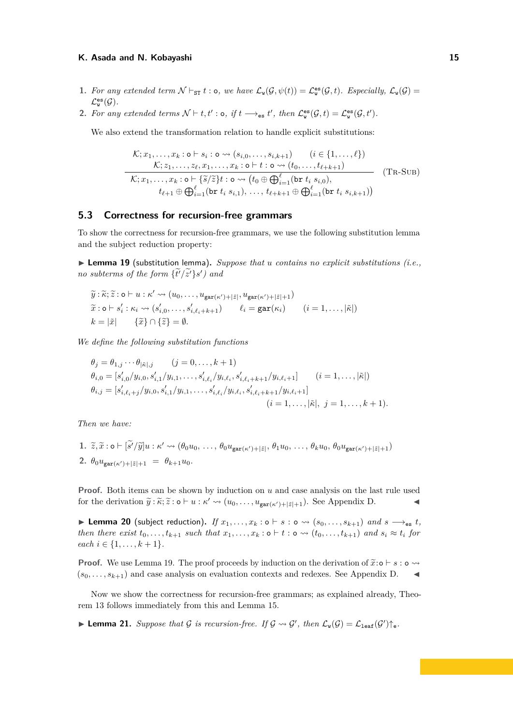- <span id="page-14-3"></span>**1.** For any extended term  $\mathcal{N} \vdash_{ST} t : o$ , we have  $\mathcal{L}_{w}(\mathcal{G}, \psi(t)) = \mathcal{L}_{w}^{\text{es}}(\mathcal{G}, t)$ . Especially,  $\mathcal{L}_{w}(\mathcal{G}) =$  $\mathcal{L}^{\texttt{es}}_{\mathtt{w}}(\mathcal{G})$ .
- <span id="page-14-5"></span>2. For any extended terms  $\mathcal{N} \vdash t, t' : \mathsf{o}, \text{ if } t \longrightarrow_{\mathsf{es}} t'$ , then  $\mathcal{L}_{\mathsf{w}}^{\mathsf{es}}(\mathcal{G}, t) = \mathcal{L}_{\mathsf{w}}^{\mathsf{es}}(\mathcal{G}, t').$

We also extend the transformation relation to handle explicit substitutions:

$$
\frac{\mathcal{K};x_1,\ldots,x_k:\mathbf{o}\vdash s_i:\mathbf{o}\leadsto(s_{i,0},\ldots,s_{i,k+1})\qquad(i\in\{1,\ldots,\ell\})}{\mathcal{K};z_1,\ldots,z_\ell,x_1,\ldots,x_k:\mathbf{o}\vdash t:\mathbf{o}\leadsto(t_0,\ldots,t_{\ell+k+1})}\n\frac{\mathcal{K};z_1,\ldots,z_\ell,x_1,\ldots,x_k:\mathbf{o}\vdash t:\mathbf{o}\leadsto(t_0,\ldots,t_{\ell+k+1})}{\mathcal{K};x_1,\ldots,x_k:\mathbf{o}\vdash\{\widetilde{s}/\widetilde{z}\}t:\mathbf{o}\leadsto(t_0\oplus\bigoplus_{i=1}^{\ell}(\mathtt{br}t_i,s_{i,0}),\n\qquad t_{\ell+1}\oplus\bigoplus_{i=1}^{\ell}(\mathtt{br}t_i,s_{i,1}),\ldots,t_{\ell+k+1}\oplus\bigoplus_{i=1}^{\ell}(\mathtt{br}t_i,s_{i,k+1}))
$$
\n(TR-SUB)

# <span id="page-14-1"></span>**5.3 Correctness for recursion-free grammars**

To show the correctness for recursion-free grammars, we use the following substitution lemma and the subject reduction property:

<span id="page-14-2"></span>▶ **Lemma 19** (substitution lemma). *Suppose that u contains no explicit substitutions (i.e., no subterms of the form*  $\{t'/\tilde{z}'\}s'$  and

$$
\widetilde{y}: \widetilde{\kappa}; \widetilde{z}: \mathbf{o} \vdash u: \kappa' \leadsto (u_0, \ldots, u_{\text{gar}(\kappa')+|\widetilde{z}|}, u_{\text{gar}(\kappa')+|\widetilde{z}|+1})
$$
  

$$
\widetilde{x}: \mathbf{o} \vdash s'_i: \kappa_i \leadsto (s'_{i,0}, \ldots, s'_{i,\ell_i+k+1}) \qquad \ell_i = \text{gar}(\kappa_i) \qquad (i = 1, \ldots, |\widetilde{\kappa}|)
$$
  

$$
k = |\widetilde{x}| \qquad \{\widetilde{x}\} \cap \{\widetilde{z}\} = \emptyset.
$$

*We define the following substitution functions*

$$
\theta_j = \theta_{1,j} \cdots \theta_{|\tilde{\kappa}|,j} \qquad (j = 0, \ldots, k+1)
$$
  
\n
$$
\theta_{i,0} = [s'_{i,0}/y_{i,0}, s'_{i,1}/y_{i,1}, \ldots, s'_{i,\ell_i}/y_{i,\ell_i}, s'_{i,\ell_i+k+1}/y_{i,\ell_i+1}] \qquad (i = 1, \ldots, |\tilde{\kappa}|)
$$
  
\n
$$
\theta_{i,j} = [s'_{i,\ell_i+j}/y_{i,0}, s'_{i,1}/y_{i,1}, \ldots, s'_{i,\ell_i}/y_{i,\ell_i}, s'_{i,\ell_i+k+1}/y_{i,\ell_i+1}]
$$
  
\n
$$
(i = 1, \ldots, |\tilde{\kappa}|, j = 1, \ldots, k+1).
$$

*Then we have:*

1. 
$$
\tilde{z}, \tilde{x} : \mathbf{o} \vdash [\tilde{s}'/\tilde{y}]u : \kappa' \leadsto (\theta_0 u_0, \ldots, \theta_0 u_{\text{gar}(\kappa')+|\tilde{z}|}, \theta_1 u_0, \ldots, \theta_k u_0, \theta_0 u_{\text{gar}(\kappa')+|\tilde{z}|+1})
$$
  
\n2.  $\theta_0 u_{\text{gar}(\kappa')+|\tilde{z}|+1} = \theta_{k+1} u_0.$ 

**Proof.** Both items can be shown by induction on *u* and case analysis on the last rule used for the derivation  $\tilde{y} : \tilde{\kappa}; \tilde{z} : \mathsf{o} \vdash u : \kappa' \leadsto (u_0, \ldots, u_{\mathsf{gar}(\kappa')+|\tilde{z}|+1})$ . See Appendix [D.](#page-21-1)

<span id="page-14-4"></span>▶ Lemma 20 (subject reduction). *If*  $x_1, \ldots, x_k : \circ \vdash s : \circ \leadsto (s_0, \ldots, s_{k+1})$  *and*  $s \longrightarrow_{\textsf{es}} t$ *,* then there exist  $t_0, \ldots, t_{k+1}$  such that  $x_1, \ldots, x_k$ :  $\circ \vdash t : \circ \leadsto (t_0, \ldots, t_{k+1})$  and  $s_i \approx t_i$  for *each*  $i \in \{1, \ldots, k+1\}.$ 

**Proof.** We use Lemma [19.](#page-14-2) The proof proceeds by induction on the derivation of  $\tilde{x}:\mathbf{o} \vdash s : \mathbf{o} \leadsto (s_0, \ldots, s_{k+1})$  and case analysis on evaluation contexts and redexes. See Appendix D.  $(s_0, \ldots, s_{k+1})$  and case analysis on evaluation contexts and redexes. See Appendix [D.](#page-21-1)

Now we show the correctness for recursion-free grammars; as explained already, Theorem [13](#page-11-2) follows immediately from this and Lemma [15.](#page-11-4)

<span id="page-14-0"></span>**Lemma 21.** Suppose that G is recursion-free. If  $G \rightsquigarrow G'$ , then  $\mathcal{L}_{w}(G) = \mathcal{L}_{\text{leaf}}(G')\hat{}_{\text{e}}$ .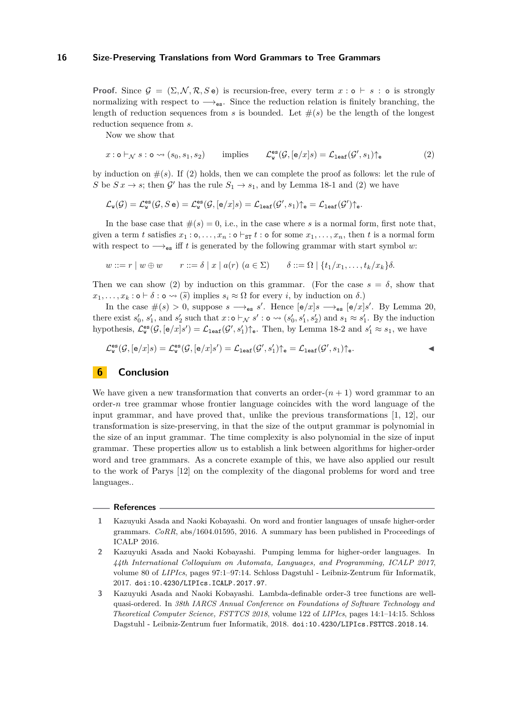**Proof.** Since  $\mathcal{G} = (\Sigma, \mathcal{N}, \mathcal{R}, S \cdot \mathbf{e})$  is recursion-free, every term  $x : \mathbf{o} \vdash s : \mathbf{o}$  is strongly normalizing with respect to  $\rightarrow$ <sub>es</sub>. Since the reduction relation is finitely branching, the length of reduction sequences from *s* is bounded. Let  $\#(s)$  be the length of the longest reduction sequence from *s*.

<span id="page-15-4"></span>Now we show that

$$
x: \mathsf{o} \vdash_{\mathcal{N}} s: \mathsf{o} \leadsto (s_0, s_1, s_2) \qquad \text{implies} \qquad \mathcal{L}^{\mathsf{es}}_{\mathsf{w}}(\mathcal{G}, [\mathsf{e}/x]s) = \mathcal{L}_{\mathtt{leaf}}(\mathcal{G}', s_1) \uparrow_{\mathsf{e}} \tag{2}
$$

by induction on  $\#(s)$ . If [\(2\)](#page-15-4) holds, then we can complete the proof as follows: let the rule of *S* be  $S x \rightarrow s$ ; then  $\mathcal{G}'$  has the rule  $S_1 \rightarrow s_1$  $S_1 \rightarrow s_1$  $S_1 \rightarrow s_1$ , and by Lemma [18-](#page-13-1)1 and [\(2\)](#page-15-4) we have

$$
\mathcal{L}_{\mathtt w}(\mathcal{G})=\mathcal{L}_{\mathtt w}^{\mathtt{es}}(\mathcal{G},S\,\mathtt e)=\mathcal{L}_{\mathtt w}^{\mathtt{es}}(\mathcal{G},[\mathtt e/x]s)=\mathcal{L}_{\mathtt{leaf}}(\mathcal{G}',s_1)\!\uparrow_{\mathtt e}=\mathcal{L}_{\mathtt{leaf}}(\mathcal{G}')\!\uparrow_{\mathtt e}.
$$

In the base case that  $\#(s) = 0$ , i.e., in the case where *s* is a normal form, first note that, given a term *t* satisfies  $x_1 : \circ, \ldots, x_n : \circ \vdash_{\text{ST}} t : \circ$  for some  $x_1, \ldots, x_n$ , then *t* is a normal form with respect to  $\rightarrow$ <sub>es</sub> iff *t* is generated by the following grammar with start symbol *w*:

$$
w ::= r \mid w \oplus w \qquad r ::= \delta \mid x \mid a(r) \ (a \in \Sigma) \qquad \delta ::= \Omega \mid \{t_1/x_1, \ldots, t_k/x_k\} \delta.
$$

Then we can show [\(2\)](#page-15-4) by induction on this grammar. (For the case  $s = \delta$ , show that  $x_1, \ldots, x_k : \mathsf{o} \vdash \delta : \mathsf{o} \leadsto (\widetilde{s})$  implies  $s_i \approx \Omega$  for every *i*, by induction on  $\delta$ .)

In the case  $\#(s) > 0$ , suppose  $s \longrightarrow_{\mathsf{es}} s'$ . Hence  $[\mathsf{e}/x]s \longrightarrow_{\mathsf{es}} [\mathsf{e}/x]s'$ . By Lemma [20,](#page-14-4) there exist  $s'_0$ ,  $s'_1$ , and  $s'_2$  such that  $x: \circ \vdash_{\mathcal{N}} s' : \circ \leadsto (s'_0, s'_1, s'_2)$  and  $s_1 \approx s'_1$ . By the induction hypothesis,  $\mathcal{L}_{\mathbf{w}}^{\mathbf{es}}(\mathcal{G},[\mathbf{e}/x]s') = \mathcal{L}_{\texttt{leaf}}(\mathcal{G}', s_1')\mathbf{\uparrow}_{\mathbf{e}}$ . Then, by Lemma [18-](#page-13-1)[2](#page-14-5) and  $s_1' \approx s_1$ , we have

$$
\mathcal{L}^{\text{es}}_{\mathbf{w}}(\mathcal{G},[\mathbf{e}/x]s) = \mathcal{L}^{\text{es}}_{\mathbf{w}}(\mathcal{G},[\mathbf{e}/x]s') = \mathcal{L}_{\text{leaf}}(\mathcal{G}',s_1')\uparrow_{\mathbf{e}} = \mathcal{L}_{\text{leaf}}(\mathcal{G}',s_1)\uparrow_{\mathbf{e}}.
$$

# <span id="page-15-3"></span>**6 Conclusion**

We have given a new transformation that converts an order- $(n+1)$  word grammar to an order-*n* tree grammar whose frontier language coincides with the word language of the input grammar, and have proved that, unlike the previous transformations [\[1,](#page-15-0) [12\]](#page-16-2), our transformation is size-preserving, in that the size of the output grammar is polynomial in the size of an input grammar. The time complexity is also polynomial in the size of input grammar. These properties allow us to establish a link between algorithms for higher-order word and tree grammars. As a concrete example of this, we have also applied our result to the work of Parys [\[12\]](#page-16-2) on the complexity of the diagonal problems for word and tree languages..

#### **References**

- <span id="page-15-0"></span>**1** Kazuyuki Asada and Naoki Kobayashi. On word and frontier languages of unsafe higher-order grammars. *CoRR*, abs/1604.01595, 2016. A summary has been published in Proceedings of ICALP 2016.
- <span id="page-15-2"></span>**2** Kazuyuki Asada and Naoki Kobayashi. Pumping lemma for higher-order languages. In *44th International Colloquium on Automata, Languages, and Programming, ICALP 2017*, volume 80 of *LIPIcs*, pages 97:1–97:14. Schloss Dagstuhl - Leibniz-Zentrum für Informatik, 2017. [doi:10.4230/LIPIcs.ICALP.2017.97](https://doi.org/10.4230/LIPIcs.ICALP.2017.97).

<span id="page-15-1"></span>**<sup>3</sup>** Kazuyuki Asada and Naoki Kobayashi. Lambda-definable order-3 tree functions are wellquasi-ordered. In *38th IARCS Annual Conference on Foundations of Software Technology and Theoretical Computer Science, FSTTCS 2018*, volume 122 of *LIPIcs*, pages 14:1–14:15. Schloss Dagstuhl - Leibniz-Zentrum fuer Informatik, 2018. [doi:10.4230/LIPIcs.FSTTCS.2018.14](https://doi.org/10.4230/LIPIcs.FSTTCS.2018.14).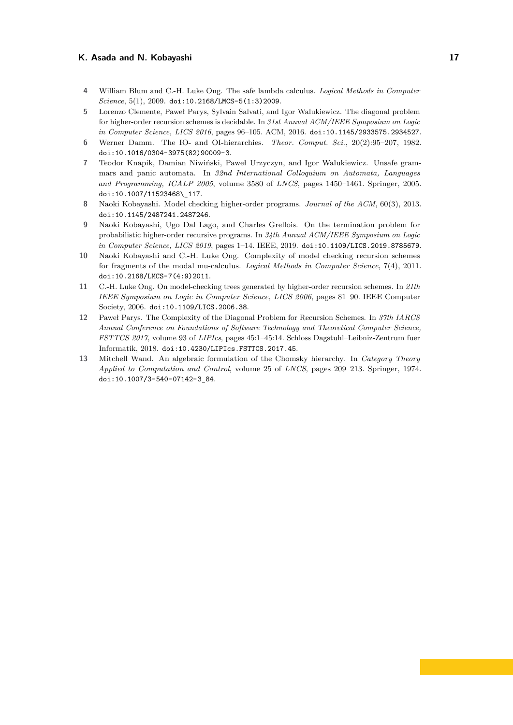- <span id="page-16-7"></span>**4** William Blum and C.-H. Luke Ong. The safe lambda calculus. *Logical Methods in Computer Science*, 5(1), 2009. [doi:10.2168/LMCS-5\(1:3\)2009](https://doi.org/10.2168/LMCS-5(1:3)2009).
- <span id="page-16-1"></span>**5** Lorenzo Clemente, Paweł Parys, Sylvain Salvati, and Igor Walukiewicz. The diagonal problem for higher-order recursion schemes is decidable. In *31st Annual ACM/IEEE Symposium on Logic in Computer Science, LICS 2016*, pages 96–105. ACM, 2016. [doi:10.1145/2933575.2934527](https://doi.org/10.1145/2933575.2934527).
- <span id="page-16-0"></span>**6** Werner Damm. The IO- and OI-hierarchies. *Theor. Comput. Sci.*, 20(2):95–207, 1982. [doi:10.1016/0304-3975\(82\)90009-3](https://doi.org/10.1016/0304-3975(82)90009-3).
- <span id="page-16-6"></span>**7** Teodor Knapik, Damian Niwiński, Paweł Urzyczyn, and Igor Walukiewicz. Unsafe grammars and panic automata. In *32nd International Colloquium on Automata, Languages and Programming, ICALP 2005*, volume 3580 of *LNCS*, pages 1450–1461. Springer, 2005. [doi:10.1007/11523468\\\_117](https://doi.org/10.1007/11523468_117).
- <span id="page-16-9"></span>**8** Naoki Kobayashi. Model checking higher-order programs. *Journal of the ACM*, 60(3), 2013. [doi:10.1145/2487241.2487246](https://doi.org/10.1145/2487241.2487246).
- <span id="page-16-5"></span>**9** Naoki Kobayashi, Ugo Dal Lago, and Charles Grellois. On the termination problem for probabilistic higher-order recursive programs. In *34th Annual ACM/IEEE Symposium on Logic in Computer Science, LICS 2019*, pages 1–14. IEEE, 2019. [doi:10.1109/LICS.2019.8785679](https://doi.org/10.1109/LICS.2019.8785679).
- <span id="page-16-3"></span>**10** Naoki Kobayashi and C.-H. Luke Ong. Complexity of model checking recursion schemes for fragments of the modal mu-calculus. *Logical Methods in Computer Science*, 7(4), 2011. [doi:10.2168/LMCS-7\(4:9\)2011](https://doi.org/10.2168/LMCS-7(4:9)2011).
- <span id="page-16-4"></span>**11** C.-H. Luke Ong. On model-checking trees generated by higher-order recursion schemes. In *21th IEEE Symposium on Logic in Computer Science, LICS 2006*, pages 81–90. IEEE Computer Society, 2006. [doi:10.1109/LICS.2006.38](https://doi.org/10.1109/LICS.2006.38).
- <span id="page-16-2"></span>**12** Paweł Parys. The Complexity of the Diagonal Problem for Recursion Schemes. In *37th IARCS Annual Conference on Foundations of Software Technology and Theoretical Computer Science, FSTTCS 2017*, volume 93 of *LIPIcs*, pages 45:1–45:14. Schloss Dagstuhl–Leibniz-Zentrum fuer Informatik, 2018. [doi:10.4230/LIPIcs.FSTTCS.2017.45](https://doi.org/10.4230/LIPIcs.FSTTCS.2017.45).
- <span id="page-16-8"></span>**13** Mitchell Wand. An algebraic formulation of the Chomsky hierarchy. In *Category Theory Applied to Computation and Control*, volume 25 of *LNCS*, pages 209–213. Springer, 1974. [doi:10.1007/3-540-07142-3\\_84](https://doi.org/10.1007/3-540-07142-3_84).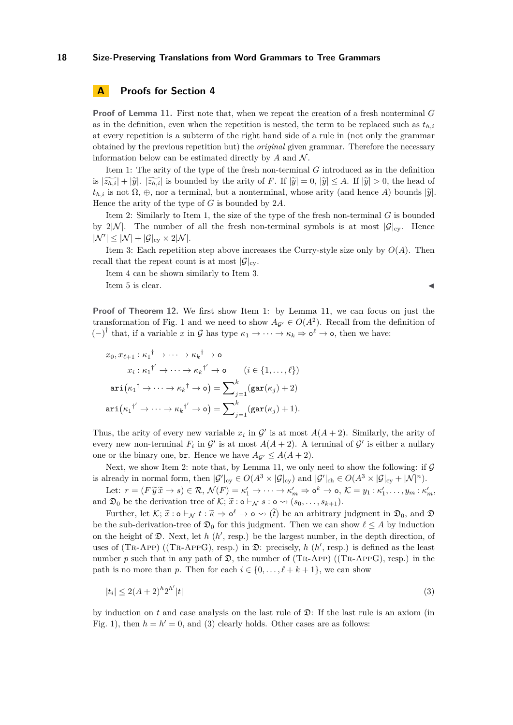# <span id="page-17-0"></span>**A Proofs for Section [4](#page-9-0)**

**Proof of Lemma [11.](#page-10-1)** First note that, when we repeat the creation of a fresh nonterminal *G* as in the definition, even when the repetition is nested, the term to be replaced such as  $t_{h,i}$ at every repetition is a subterm of the right hand side of a rule in (not only the grammar obtained by the previous repetition but) the *original* given grammar. Therefore the necessary information below can be estimated directly by  $A$  and  $N$ .

Item [1:](#page-10-2) The arity of the type of the fresh non-terminal *G* introduced as in the definition is  $|\widetilde{z_{h,i}}| + |\widetilde{y}|$ .  $|\widetilde{z_{h,i}}|$  is bounded by the arity of *F*. If  $|\widetilde{y}| = 0$ ,  $|\widetilde{y}| \leq A$ . If  $|\widetilde{y}| > 0$ , the head of  $t_{h,i}$  is not  $\Omega$ ,  $\oplus$ , nor a terminal, but a nonterminal, whose arity (and hence *A*) bounds  $|\tilde{y}|$ . Hence the arity of the type of *G* is bounded by 2*A*.

Item [2:](#page-10-3) Similarly to Item [1,](#page-10-2) the size of the type of the fresh non-terminal *G* is bounded by  $2|\mathcal{N}|$ . The number of all the fresh non-terminal symbols is at most  $|\mathcal{G}|_{\text{cv}}$ . Hence  $|\mathcal{N}'| \leq |\mathcal{N}| + |\mathcal{G}|_{cy} \times 2|\mathcal{N}|.$ 

Item [3:](#page-10-4) Each repetition step above increases the Curry-style size only by  $O(A)$ . Then recall that the repeat count is at most  $|\mathcal{G}|_{\text{cv}}$ .

Item [4](#page-10-5) can be shown similarly to Item [3.](#page-10-4) Item [5](#page-10-6) is clear.

**Proof of Theorem [12.](#page-10-0)** We first show Item [1:](#page-10-7) by Lemma [11,](#page-10-1) we can focus on just the transformation of Fig. [1](#page-7-0) and we need to show  $A_{\mathcal{G}} \in O(A^2)$ . Recall from the definition of  $(-)^{\dagger}$  that, if a variable *x* in G has type  $\kappa_1 \to \cdots \to \kappa_k \Rightarrow \mathfrak{o}^{\ell} \to \mathfrak{o}$ , then we have:

$$
x_0, x_{\ell+1} : \kappa_1^{\dagger} \to \cdots \to \kappa_k^{\dagger} \to \mathsf{o}
$$
  
\n
$$
x_i : \kappa_1^{\dagger'} \to \cdots \to \kappa_k^{\dagger'} \to \mathsf{o} \qquad (i \in \{1, \ldots, \ell\})
$$
  
\n
$$
\operatorname{ari}(\kappa_1^{\dagger} \to \cdots \to \kappa_k^{\dagger} \to \mathsf{o}) = \sum_{j=1}^k (\operatorname{gar}(\kappa_j) + 2)
$$
  
\n
$$
\operatorname{ari}(\kappa_1^{\dagger'} \to \cdots \to \kappa_k^{\dagger'} \to \mathsf{o}) = \sum_{j=1}^k (\operatorname{gar}(\kappa_j) + 1).
$$

Thus, the arity of every new variable  $x_i$  in  $\mathcal{G}'$  is at most  $A(A + 2)$ . Similarly, the arity of every new non-terminal  $F_i$  in  $\mathcal{G}'$  is at most  $A(A+2)$ . A terminal of  $\mathcal{G}'$  is either a nullary one or the binary one, br. Hence we have  $A_{\mathcal{G}} \leq A(A+2)$ .

Next, we show Item [2:](#page-10-8) note that, by Lemma [11,](#page-10-1) we only need to show the following: if  $\mathcal G$ is already in normal form, then  $|\mathcal{G}'|_{\text{cy}} \in O(A^3 \times |\mathcal{G}|_{\text{cy}})$  and  $|\mathcal{G}'|_{\text{ch}} \in O(A^3 \times |\mathcal{G}|_{\text{cy}} + |\mathcal{N}|^n)$ .

Let:  $r = (F \widetilde{y} \widetilde{x} \to s) \in \mathcal{R}, \mathcal{N}(F) = \kappa'_1 \to \cdots \to \kappa'_m \Rightarrow \mathsf{o}^k \to \mathsf{o}, \mathcal{K} = y_1 : \kappa'_1, \ldots, y_m : \kappa'_m,$ <br>  $\Box$  be the degenerator trac of  $K$ ;  $\widetilde{\approx}$  i.e.  $\Box$ and  $\mathfrak{D}_0$  be the derivation tree of  $\mathcal{K}; \tilde{x} : \mathfrak{o} \vdash_{\mathcal{N}} s : \mathfrak{o} \leadsto (s_0, \ldots, s_{k+1}).$ 

Further, let  $\mathcal{K}; \tilde{x} : \mathfrak{d} \vdash_{\mathcal{N}} t : \tilde{\kappa} \Rightarrow \mathfrak{d}^{\ell} \rightarrow \mathfrak{o} \rightsquigarrow (\tilde{t})$  be an arbitrary judgment in  $\mathfrak{D}_0$ , and  $\mathfrak{D}$ <br>the sub-definition tree of  $\mathfrak{D}$ , for this judgment. Then we can show  $\ell \leq$ be the sub-derivation-tree of  $\mathfrak{D}_0$  for this judgment. Then we can show  $\ell \leq A$  by induction on the height of  $\mathfrak{D}$ . Next, let *h* ( $h'$ , resp.) be the largest number, in the depth direction, of uses of (TR-APP) ((TR-APPG), resp.) in  $\mathfrak{D}$ : precisely, *h* (*h*', resp.) is defined as the least number  $p$  such that in any path of  $\mathfrak{D}$ , the number of (TR-App) ((TR-AppG), resp.) in the path is no more than *p*. Then for each  $i \in \{0, \ldots, \ell + k + 1\}$ , we can show

<span id="page-17-1"></span>
$$
|t_i| \le 2(A+2)^h 2^{h'} |t| \tag{3}
$$

by induction on  $t$  and case analysis on the last rule of  $\mathfrak{D}$ : If the last rule is an axiom (in Fig. [1\)](#page-7-0), then  $h = h' = 0$ , and [\(3\)](#page-17-1) clearly holds. Other cases are as follows: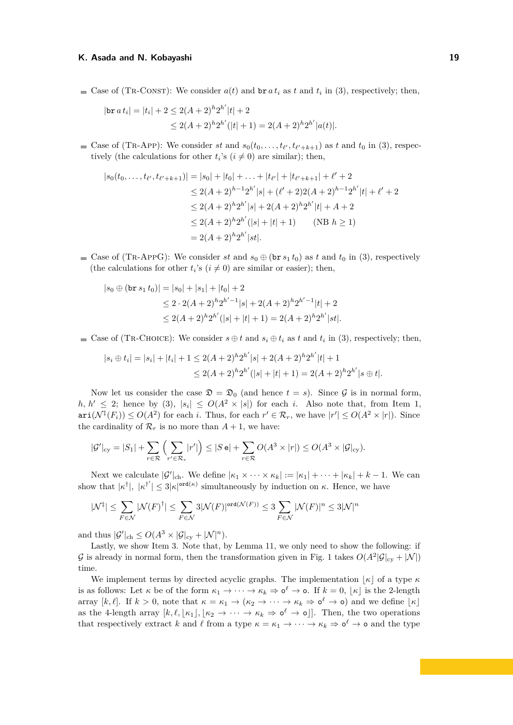Case of (TR-CONST): We consider  $a(t)$  and  $b \r a t_i$  as  $t$  and  $t_i$  in [\(3\)](#page-17-1), respectively; then,

$$
|\text{br } a t_i| = |t_i| + 2 \le 2(A+2)^h 2^{h'} |t| + 2
$$
  

$$
\le 2(A+2)^h 2^{h'} (|t|+1) = 2(A+2)^h 2^{h'} |a(t)|.
$$

Case of (TR-APP): We consider *st* and  $s_0(t_0, \ldots, t_{\ell'}, t_{\ell'+k+1})$  as *t* and  $t_0$  in [\(3\)](#page-17-1), respectively (the calculations for other  $t_i$ 's ( $i \neq 0$ ) are similar); then,

$$
|s_0(t_0,\ldots,t_{\ell'},t_{\ell'+k+1})| = |s_0| + |t_0| + \ldots + |t_{\ell'}| + |t_{\ell'+k+1}| + \ell' + 2
$$
  
\n
$$
\leq 2(A+2)^{h-1}2^{h'}|s| + (\ell'+2)2(A+2)^{h-1}2^{h'}|t| + \ell' + 2
$$
  
\n
$$
\leq 2(A+2)^h2^{h'}|s| + 2(A+2)^h2^{h'}|t| + A + 2
$$
  
\n
$$
\leq 2(A+2)^h2^{h'}(|s|+|t|+1) \qquad (\text{NB } h \geq 1)
$$
  
\n
$$
= 2(A+2)^h2^{h'}|st|.
$$

Case of (TR-APPG): We consider *st* and  $s_0 \oplus (\text{br } s_1 t_0)$  as *t* and  $t_0$  in [\(3\)](#page-17-1), respectively (the calculations for other  $t_i$ 's  $(i \neq 0)$  are similar or easier); then,

$$
|s_0 \oplus (\text{br } s_1 t_0)| = |s_0| + |s_1| + |t_0| + 2
$$
  
\n
$$
\leq 2 \cdot 2(A+2)^h 2^{h'-1} |s| + 2(A+2)^h 2^{h'-1} |t| + 2
$$
  
\n
$$
\leq 2(A+2)^h 2^{h'} (|s|+|t|+1) = 2(A+2)^h 2^{h'} |st|.
$$

Case of (TR-CHOICE): We consider  $s \oplus t$  and  $s_i \oplus t_i$  as  $t$  and  $t_i$  in [\(3\)](#page-17-1), respectively; then,

$$
|s_i \oplus t_i| = |s_i| + |t_i| + 1 \le 2(A+2)^h 2^{h'} |s| + 2(A+2)^h 2^{h'} |t| + 1
$$
  

$$
\le 2(A+2)^h 2^{h'} (|s|+|t|+1) = 2(A+2)^h 2^{h'} |s \oplus t|.
$$

Now let us consider the case  $\mathfrak{D} = \mathfrak{D}_0$  (and hence  $t = s$ ). Since  $\mathcal G$  is in normal form,  $h, h' \leq 2$ ; hence by [\(3\)](#page-17-1),  $|s_i| \leq O(A^2 \times |s|)$  for each *i*. Also note that, from Item [1,](#page-10-7)  $\text{ari}(\mathcal{N}^{\ddagger}(F_i)) \leq O(A^2)$  for each *i*. Thus, for each  $r' \in \mathcal{R}_r$ , we have  $|r'| \leq O(A^2 \times |r|)$ . Since the cardinality of  $\mathcal{R}_r$  is no more than  $A + 1$ , we have:

$$
|\mathcal{G}'|_{\text{cy}} = |S_1| + \sum_{r \in \mathcal{R}} \left( \sum_{r' \in \mathcal{R}_r} |r'| \right) \leq |S \mathbf{e}| + \sum_{r \in \mathcal{R}} O(A^3 \times |r|) \leq O(A^3 \times |\mathcal{G}|_{\text{cy}}).
$$

Next we calculate  $|\mathcal{G}'|_{ch}$ . We define  $|\kappa_1 \times \cdots \times \kappa_k| := |\kappa_1| + \cdots + |\kappa_k| + k - 1$ . We can show that  $|\kappa^{\dagger}|, |\kappa^{\dagger'}| \leq 3|\kappa|^{\text{ord}(\kappa)}$  simultaneously by induction on  $\kappa$ . Hence, we have

$$
|\mathcal{N}^\ddagger| \leq \sum_{F \in \mathcal{N}} |\mathcal{N}(F)^\dagger| \leq \sum_{F \in \mathcal{N}} 3 |\mathcal{N}(F)|^{\mathrm{ord}(\mathcal{N}(F))} \leq 3 \sum_{F \in \mathcal{N}} |\mathcal{N}(F)|^n \leq 3 |\mathcal{N}|^n
$$

and thus  $|\mathcal{G}'|_{\text{ch}} \leq O(A^3 \times |\mathcal{G}|_{\text{cy}} + |\mathcal{N}|^n)$ .

Lastly, we show Item [3.](#page-10-9) Note that, by Lemma [11,](#page-10-1) we only need to show the following: if G is already in normal form, then the transformation given in Fig. [1](#page-7-0) takes  $O(A^2|\mathcal{G}|_{cy} + |\mathcal{N}|)$ time.

We implement terms by directed acyclic graphs. The implementation  $\vert \kappa \vert$  of a type  $\kappa$ is as follows: Let  $\kappa$  be of the form  $\kappa_1 \to \cdots \to \kappa_k \Rightarrow \mathsf{o}^{\ell} \to \mathsf{o}$ . If  $k = 0, \lfloor \kappa \rfloor$  is the 2-length array  $[k, \ell]$ . If  $k > 0$ , note that  $\kappa = \kappa_1 \to (\kappa_2 \to \cdots \to \kappa_k \Rightarrow \mathsf{o}^{\ell} \to \mathsf{o})$  and we define  $\lfloor \kappa \rfloor$ as the 4-length array  $[k, \ell, [\kappa_1], [\kappa_2 \to \cdots \to \kappa_k \Rightarrow \mathfrak{o}^{\ell} \to \mathfrak{o}]]$ . Then, the two operations that respectively extract *k* and  $\ell$  from a type  $\kappa = \kappa_1 \to \cdots \to \kappa_k \Rightarrow \mathsf{o}^{\ell} \to \mathsf{o}$  and the type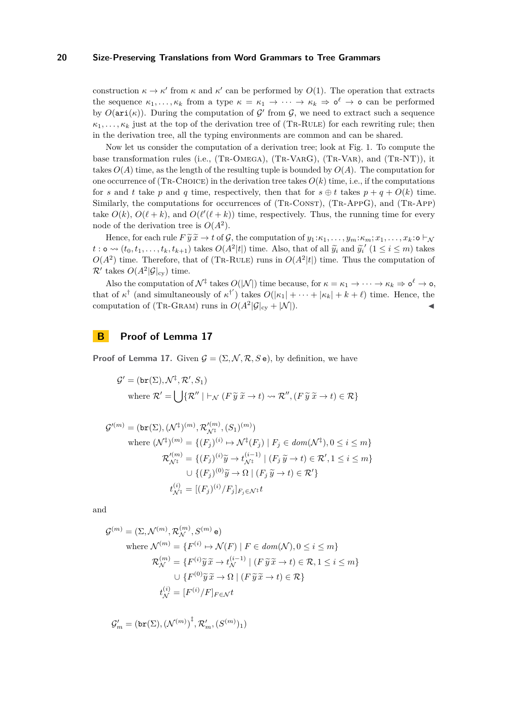construction  $\kappa \to \kappa'$  from  $\kappa$  and  $\kappa'$  can be performed by  $O(1)$ . The operation that extracts the sequence  $\kappa_1, \ldots, \kappa_k$  from a type  $\kappa = \kappa_1 \to \cdots \to \kappa_k \Rightarrow \mathfrak{\delta}^{\ell} \to \mathfrak{o}$  can be performed by  $O(\text{ari}(\kappa))$ . During the computation of  $\mathcal{G}'$  from  $\mathcal{G}$ , we need to extract such a sequence  $\kappa_1, \ldots, \kappa_k$  just at the top of the derivation tree of (TR-RULE) for each rewriting rule; then in the derivation tree, all the typing environments are common and can be shared.

Now let us consider the computation of a derivation tree; look at Fig. [1.](#page-7-0) To compute the base transformation rules (i.e., (TR-OMEGA), (TR-VARG), (TR-VAR), and (TR-NT)), it takes  $O(A)$  time, as the length of the resulting tuple is bounded by  $O(A)$ . The computation for one occurrence of (TR-CHOICE) in the derivation tree takes  $O(k)$  time, i.e., if the computations for *s* and *t* take *p* and *q* time, respectively, then that for  $s \oplus t$  takes  $p + q + O(k)$  time. Similarly, the computations for occurrences of (TR-CONST), (TR-AppG), and (TR-App) take  $O(k)$ ,  $O(\ell + k)$ , and  $O(\ell'(\ell + k))$  time, respectively. Thus, the running time for every node of the derivation tree is  $O(A^2)$ .

Hence, for each rule  $F \widetilde{y} \widetilde{x} \to t$  of  $\mathcal{G}$ , the computation of  $y_1 : \kappa_1, \ldots, y_m : \kappa_m : x_1, \ldots, x_k : \mathfrak{0} \vdash_{\mathcal{N}}$ *t*:  $\infty \rightsquigarrow (t_0, t_1, \ldots, t_k, t_{k+1})$  takes  $O(A^2|t|)$  time. Also, that of all  $\widetilde{y}_i$  and  $\widetilde{y}_i'$  ( $1 \le i \le m$ ) takes  $O(A^2|t|)$  time. Thus the computation of  $O(A^2)$  time. Therefore, that of (TR-RULE) runs in  $O(A^2|t|)$  time. Thus the computation of  $\mathcal{R}'$  takes  $O(A^2|\mathcal{G}|_{\text{cy}})$  time.

Also the computation of  $\mathcal{N}^{\ddagger}$  takes  $O(|\mathcal{N}|)$  time because, for  $\kappa = \kappa_1 \to \cdots \to \kappa_k \Rightarrow \mathsf{o}^{\ell} \to \mathsf{o}$ , that of  $\kappa^{\dagger}$  (and simultaneously of  $\kappa^{\dagger'}$ ) takes  $O(|\kappa_1| + \cdots + |\kappa_k| + k + \ell)$  time. Hence, the computation of (TR-GRAM) runs in  $O(A^2|\mathcal{G}|_{cy} + |\mathcal{N}|)$ .

<span id="page-19-0"></span>**B Proof of Lemma [17](#page-12-5)**

**Proof of Lemma [17.](#page-12-5)** Given  $\mathcal{G} = (\Sigma, \mathcal{N}, \mathcal{R}, S e)$ , by definition, we have

$$
\mathcal{G}' = (\text{br}(\Sigma), \mathcal{N}^{\ddagger}, \mathcal{R}', S_1)
$$
  
where  $\mathcal{R}' = \bigcup \{ \mathcal{R}'' \mid \vdash_{\mathcal{N}} (F \widetilde{y} \widetilde{x} \to t) \leadsto \mathcal{R}'', (F \widetilde{y} \widetilde{x} \to t) \in \mathcal{R} \}$ 

$$
\mathcal{G}'^{(m)} = (\text{br}(\Sigma), (\mathcal{N}^{\ddagger})^{(m)}, \mathcal{R}'^{(m)}_{\mathcal{N}^{\ddagger}}, (S_1)^{(m)})
$$
  
where  $(\mathcal{N}^{\ddagger})^{(m)} = \{ (F_j)^{(i)} \mapsto \mathcal{N}^{\ddagger}(F_j) \mid F_j \in dom(\mathcal{N}^{\ddagger}), 0 \le i \le m \}$   

$$
\mathcal{R}'^{(m)}_{\mathcal{N}^{\ddagger}} = \{ (F_j)^{(i)} \widetilde{y} \mapsto t_{\mathcal{N}^{\ddagger}}^{(i-1)} \mid (F_j \widetilde{y} \to t) \in \mathcal{R}', 1 \le i \le m \}
$$
  

$$
\cup \{ (F_j)^{(0)} \widetilde{y} \to \Omega \mid (F_j \widetilde{y} \to t) \in \mathcal{R}' \}
$$
  

$$
t_{\mathcal{N}^{\ddagger}}^{(i)} = [(F_j)^{(i)} / F_j]_{F_j \in \mathcal{N}^{\ddagger}} t
$$

and

$$
\mathcal{G}^{(m)} = (\Sigma, \mathcal{N}^{(m)}, \mathcal{R}_{\mathcal{N}}^{(m)}, S^{(m)} \mathbf{e})
$$
  
\nwhere  $\mathcal{N}^{(m)} = \{F^{(i)} \mapsto \mathcal{N}(F) \mid F \in dom(\mathcal{N}), 0 \le i \le m\}$   
\n
$$
\mathcal{R}_{\mathcal{N}}^{(m)} = \{F^{(i)}\widetilde{y}\widetilde{x} \to t_{\mathcal{N}}^{(i-1)} \mid (F\widetilde{y}\widetilde{x} \to t) \in \mathcal{R}, 1 \le i \le m\}
$$
  
\n
$$
\cup \{F^{(0)}\widetilde{y}\widetilde{x} \to \Omega \mid (F\widetilde{y}\widetilde{x} \to t) \in \mathcal{R}\}
$$
  
\n
$$
t_{\mathcal{N}}^{(i)} = [F^{(i)}/F]_{F \in \mathcal{N}} t
$$

$$
\mathcal{G}'_m = (\mathrm{br}(\Sigma), {(\mathcal{N}^{(m)})}^\ddagger, \mathcal{R}'_m, (S^{(m)})_1)
$$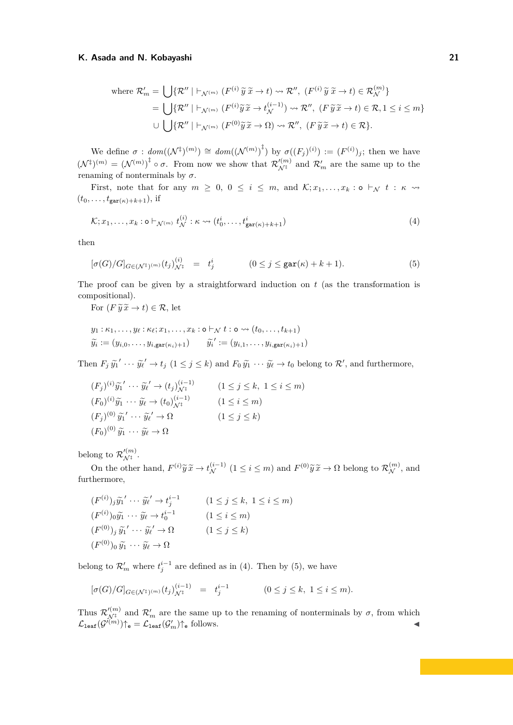where 
$$
\mathcal{R}'_m = \bigcup \{ \mathcal{R}'' \mid \vdash_{\mathcal{N}^{(m)}} (F^{(i)} \widetilde{y} \widetilde{x} \to t) \leadsto \mathcal{R}''
$$
,  $(F^{(i)} \widetilde{y} \widetilde{x} \to t) \in \mathcal{R}_{\mathcal{N}}^{(m)} \}$   
\n
$$
= \bigcup \{ \mathcal{R}'' \mid \vdash_{\mathcal{N}^{(m)}} (F^{(i)} \widetilde{y} \widetilde{x} \to t_{\mathcal{N}}^{(i-1)}) \leadsto \mathcal{R}''
$$
,  $(F \widetilde{y} \widetilde{x} \to t) \in \mathcal{R}, 1 \le i \le m \}$   
\n
$$
\cup \bigcup \{ \mathcal{R}'' \mid \vdash_{\mathcal{N}^{(m)}} (F^{(0)} \widetilde{y} \widetilde{x} \to \Omega) \leadsto \mathcal{R}''
$$
,  $(F \widetilde{y} \widetilde{x} \to t) \in \mathcal{R} \}.$ 

We define  $\sigma : dom((\mathcal{N}^{\ddagger})^{(m)}) \cong dom((\mathcal{N}^{(m)})^{\ddagger})$  by  $\sigma((F_j)^{(i)}) := (F^{(i)})_j$ ; then we have  $(\mathcal{N}^{\ddagger})^{(m)} = (\mathcal{N}^{(m)})^{\ddagger} \circ \sigma$ . From now we show that  $\mathcal{R}'^{(m)}_{\mathcal{N}^{\ddagger}}$  and  $\mathcal{R}'_m$  are the same up to the renaming of nonterminals by  $\sigma$ .

First, note that for any  $m \ge 0$ ,  $0 \le i \le m$ , and  $\mathcal{K}; x_1, \ldots, x_k : \mathsf{o} \vdash_{\mathcal{N}} t : \kappa \leadsto$  $(t_0,\ldots,t_{\text{gar}(\kappa)+k+1}),$  if

<span id="page-20-1"></span><span id="page-20-0"></span>
$$
\mathcal{K}; x_1, \dots, x_k : \mathsf{o} \vdash_{\mathcal{N}^{(m)}} t_{\mathcal{N}}^{(i)} : \kappa \leadsto (t_0^i, \dots, t_{\mathsf{gar}(\kappa)+k+1}^i)
$$
\n
$$
\tag{4}
$$

then

$$
[\sigma(G)/G]_{G \in (\mathcal{N}^{\ddagger})(m)}(t_j)_{\mathcal{N}^{\ddagger}}^{(i)} = t_j^i \qquad (0 \le j \le \text{gar}(\kappa) + k + 1). \tag{5}
$$

The proof can be given by a straightforward induction on *t* (as the transformation is compositional).

For  $(F \widetilde{y} \widetilde{x} \to t) \in \mathcal{R}$ , let

$$
y_1: \kappa_1, \ldots, y_\ell: \kappa_\ell; x_1, \ldots, x_k: \mathsf{o} \vdash_{\mathcal{N}} t: \mathsf{o} \rightsquigarrow (t_0, \ldots, t_{k+1})
$$

$$
\widetilde{y_i} := (y_{i,0}, \ldots, y_{i,\text{gar}(\kappa_i)+1}) \qquad \widetilde{y_i}' := (y_{i,1}, \ldots, y_{i,\text{gar}(\kappa_i)+1})
$$

Then  $F_j \widetilde{y_1}' \cdots \widetilde{y_\ell}' \to t_j \ (1 \le j \le k)$  and  $F_0 \widetilde{y_1} \cdots \widetilde{y_\ell} \to t_0$  belong to  $\mathcal{R}'$ , and furthermore,

$$
(F_j)^{(i)}\widetilde{y_1}' \cdots \widetilde{y_\ell}' \to (t_j)_{\mathcal{N}^\sharp}^{(i-1)} \qquad (1 \le j \le k, \ 1 \le i \le m)
$$
  
\n
$$
(F_0)^{(i)}\widetilde{y_1} \cdots \widetilde{y_\ell} \to (t_0)_{\mathcal{N}^\sharp}^{(i-1)} \qquad (1 \le i \le m)
$$
  
\n
$$
(F_j)^{(0)}\widetilde{y_1}' \cdots \widetilde{y_\ell}' \to \Omega \qquad (1 \le j \le k)
$$
  
\n
$$
(F_0)^{(0)}\widetilde{y_1} \cdots \widetilde{y_\ell} \to \Omega
$$

belong to  $\mathcal{R}'^{(m)}_{\mathcal{N}^\ddagger}$ .

On the other hand,  $F^{(i)}\tilde{y}\tilde{x} \to t^{(i-1)}_{\mathcal{N}}$  ( $1 \leq i \leq m$ ) and  $F^{(0)}\tilde{y}\tilde{x} \to \Omega$  belong to  $\mathcal{R}_{\mathcal{N}}^{(m)}$ , and furthermore,

$$
(F^{(i)})_j \widetilde{y_1}' \cdots \widetilde{y_{\ell}}' \to t_j^{i-1} \qquad (1 \le j \le k, 1 \le i \le m)
$$
  
\n
$$
(F^{(i)})_0 \widetilde{y_1} \cdots \widetilde{y_{\ell}} \to t_0^{i-1} \qquad (1 \le i \le m)
$$
  
\n
$$
(F^{(0)})_j \widetilde{y_1}' \cdots \widetilde{y_{\ell}}' \to \Omega \qquad (1 \le j \le k)
$$
  
\n
$$
(F^{(0)})_0 \widetilde{y_1} \cdots \widetilde{y_{\ell}} \to \Omega
$$

belong to  $\mathcal{R}'_m$  where  $t_j^{i-1}$  are defined as in [\(4\)](#page-20-0). Then by [\(5\)](#page-20-1), we have

$$
[\sigma(G)/G]_{G \in (\mathcal{N}^{\ddagger})(m)}(t_j)_{\mathcal{N}^{\ddagger}}^{(i-1)} = t_j^{i-1} \qquad (0 \le j \le k, \ 1 \le i \le m).
$$

Thus  $\mathcal{R}'_{\mathcal{N}^{\ddagger}}$  and  $\mathcal{R}'_m$  are the same up to the renaming of nonterminals by  $\sigma$ , from which  $\mathcal{L}_{\texttt{leaf}}(\mathcal{G}^{\prime(m)})\uparrow$ <sub>e</sub> =  $\mathcal{L}_{\texttt{leaf}}(\mathcal{G}'_m)\uparrow$ <sub>e</sub> follows.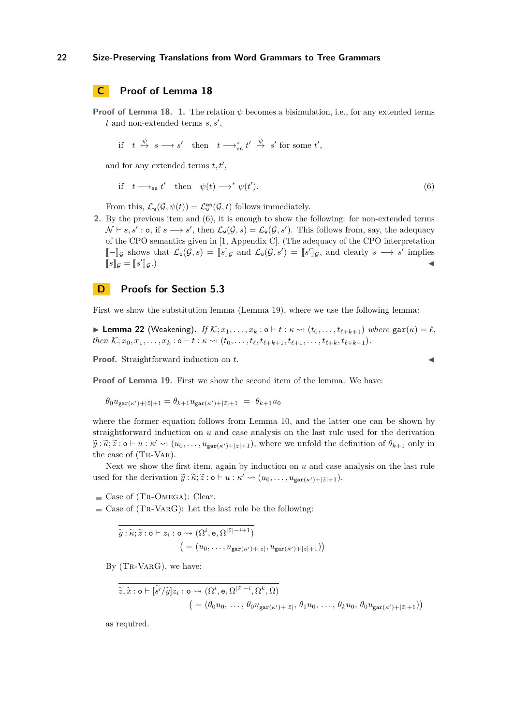# <span id="page-21-0"></span>**C Proof of Lemma [18](#page-13-1)**

**Proof of Lemma [18.](#page-13-1)** 1. The relation  $\psi$  becomes a bisimulation, i.e., for any extended terms  $t$  and non-extended terms  $s, s'$ ,

$$
\text{if} \quad t \stackrel{\psi}{\mapsto} s \longrightarrow s' \quad \text{then} \quad t \longrightarrow_{\text{es}}^* t' \stackrel{\psi}{\mapsto} s' \text{ for some } t',
$$

and for any extended terms  $t, t'$ ,

<span id="page-21-2"></span>if 
$$
t \longrightarrow_{\text{es}} t'
$$
 then  $\psi(t) \longrightarrow^* \psi(t')$ . (6)

From this,  $\mathcal{L}_{\mathbf{w}}(\mathcal{G}, \psi(t)) = \mathcal{L}_{\mathbf{w}}^{\mathbf{es}}(\mathcal{G}, t)$  follows immediately.

**2.** By the previous item and [\(6\)](#page-21-2), it is enough to show the following: for non-extended terms  $\mathcal{N} \vdash s, s' : \mathsf{o}, \text{ if } s \longrightarrow s'$ , then  $\mathcal{L}_{\mathsf{w}}(\mathcal{G}, s) = \mathcal{L}_{\mathsf{w}}(\mathcal{G}, s')$ . This follows from, say, the adequacy of the CPO semantics given in [\[1,](#page-15-0) Appendix C]. (The adequacy of the CPO interpretation  $\llbracket - \rrbracket_{\mathcal{G}}$  shows that  $\mathcal{L}_{\mathbf{w}}(\mathcal{G}, s) = \llbracket s \rrbracket_{\mathcal{G}}$  and  $\mathcal{L}_{\mathbf{w}}(\mathcal{G}, s') = \llbracket s' \rrbracket_{\mathcal{G}}$ , and clearly  $s \longrightarrow s'$  implies  $[s]$ <sub>*g*</sub> =  $[s'$  $\mathbb{F}_{\mathcal{G}}$ .)

# <span id="page-21-1"></span>**D Proofs for Section [5.3](#page-14-1)**

<span id="page-21-3"></span>First we show the substitution lemma (Lemma [19\)](#page-14-2), where we use the following lemma:

▶ Lemma 22 (Weakening). *If*  $K; x_1, \ldots, x_k : o ⊢ t : \kappa \leadsto (t_0, \ldots, t_{\ell+k+1})$  *where*  $\text{gar}(\kappa) = \ell$ *,* then  $\mathcal{K}; x_0, x_1, \ldots, x_k$ :  $\circ \vdash t : \kappa \leadsto (t_0, \ldots, t_\ell, t_{\ell+k+1}, t_{\ell+1}, \ldots, t_{\ell+k}, t_{\ell+k+1}).$ 

Proof. Straightforward induction on *t*.

**Proof of Lemma [19.](#page-14-2)** First we show the second item of the lemma. We have:

$$
\theta_0 u_{\text{gar}(\kappa')+|\tilde{z}|+1} = \theta_{k+1} u_{\text{gar}(\kappa')+|\tilde{z}|+1} = \theta_{k+1} u_0
$$

where the former equation follows from Lemma [10,](#page-9-1) and the latter one can be shown by straightforward induction on *u* and case analysis on the last rule used for the derivation  $\widetilde{y}$ :  $\widetilde{\kappa}$ ;  $\widetilde{z}$ :  $\circ$   $\vdash$  *u* :  $\kappa' \leadsto (u_0, \ldots, u_{\text{gar}(\kappa')+|\tilde{z}|+1}),$  where we unfold the definition of  $\theta_{k+1}$  only in the second of  $(T_{\text{par}}(T_{\text{par}}))$ the case of (TR-VAR).

Next we show the first item, again by induction on *u* and case analysis on the last rule used for the derivation  $\widetilde{y} : \widetilde{\kappa}; \widetilde{z} : \mathsf{o} \vdash u : \kappa' \leadsto (u_0, \ldots, u_{\mathtt{gar}(\kappa')+|\widetilde{z}|+1}).$ 

 $\blacksquare$  Case of (TR-OMEGA): Clear.

 $\blacksquare$  Case of (TR-VARG): Let the last rule be the following:

$$
\widetilde{y} : \widetilde{\kappa}; \widetilde{z} : \mathsf{o} \vdash z_i : \mathsf{o} \leadsto (\Omega^i, \mathsf{e}, \Omega^{|\widetilde{z}|-i+1})
$$
\n
$$
\left( = (u_0, \dots, u_{\mathsf{gar}(\kappa')+|\widetilde{z}|}, u_{\mathsf{gar}(\kappa')+|\widetilde{z}|+1}) \right)
$$

By (TR-VARG), we have:

$$
\widetilde{z}, \widetilde{x} : \mathbf{o} \vdash [\widetilde{s'} / \widetilde{y}] z_i : \mathbf{o} \leadsto (\Omega^i, \mathbf{e}, \Omega^{|\widetilde{z}|-i}, \Omega^k, \Omega)
$$
  

$$
= (\theta_0 u_0, \ldots, \theta_0 u_{\text{gar}(\kappa')+|\widetilde{z}|}, \theta_1 u_0, \ldots, \theta_k u_0, \theta_0 u_{\text{gar}(\kappa')+|\widetilde{z}|+1}))
$$

as required.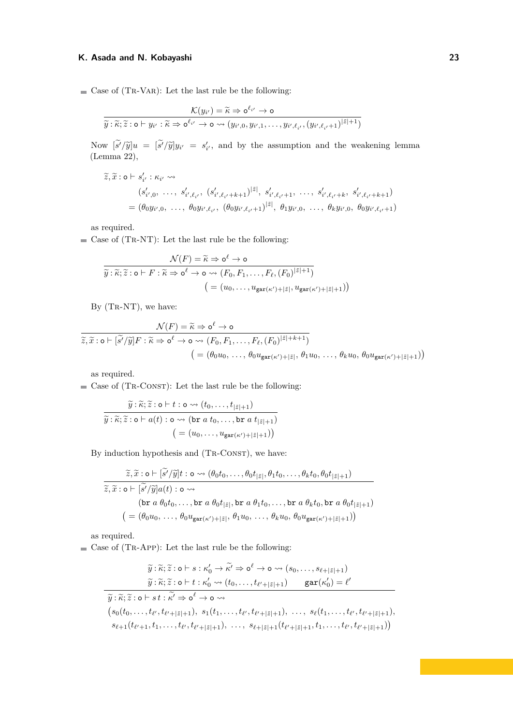$\blacksquare$  Case of (TR-VAR): Let the last rule be the following:

$$
\frac{\mathcal{K}(y_{i'}) = \widetilde{\kappa} \Rightarrow \mathsf{o}^{\ell_{i'}} \to \mathsf{o}}{\widetilde{y} : \widetilde{\kappa}; \widetilde{z} : \mathsf{o} \vdash y_{i'} : \widetilde{\kappa} \Rightarrow \mathsf{o}^{\ell_{i'}} \to \mathsf{o} \leadsto (y_{i',0}, y_{i',1}, \ldots, y_{i',\ell_{i'}}, (y_{i',\ell_{i'}+1})^{|\widetilde{z}|+1})}
$$

Now  $\left[\tilde{s}'/\tilde{y}\right]u = \left[\tilde{s}'/\tilde{y}\right]y_i = s'_i$ , and by the assumption and the weakening lemma (Lemma 22) (Lemma [22\)](#page-21-3),

$$
\widetilde{z}, \widetilde{x} : \mathsf{o} \vdash s'_{i'} : \kappa_{i'} \leadsto
$$
\n
$$
(s'_{i',0}, \ldots, s'_{i',\ell_{i'}}, (s'_{i',\ell_{i'}+k+1})^{|\widetilde{z}|}, s'_{i',\ell_{i'}+1}, \ldots, s'_{i',\ell_{i'}+k}, s'_{i',\ell_{i'}+k+1})
$$
\n
$$
= (\theta_0 y_{i',0}, \ldots, \theta_0 y_{i',\ell_{i'}}, (\theta_0 y_{i',\ell_{i'}+1})^{|\widetilde{z}|}, \theta_1 y_{i',0}, \ldots, \theta_k y_{i',0}, \theta_0 y_{i',\ell_{i'}+1})
$$

as required.

 $\blacksquare$  <br> Case of (TR-NT): Let the last rule be the following:

$$
\overbrace{\widetilde{y} : \widetilde{\kappa}; \widetilde{z} : \mathsf{o} \vdash F : \widetilde{\kappa} \Rightarrow \mathsf{o}^{\ell} \to \mathsf{o}}^{\mathcal{N}(F)} = \widetilde{\kappa} \Rightarrow \mathsf{o}^{\ell} \to \mathsf{o} \leadsto (F_0, F_1, \dots, F_{\ell}, (F_0)^{|\widetilde{z}|+1})}
$$
\n
$$
= (u_0, \dots, u_{\text{gar}(\kappa')+|\widetilde{z}|}, u_{\text{gar}(\kappa')+|\widetilde{z}|+1}))
$$

By  $(TR-NT)$ , we have:

$$
\frac{\mathcal{N}(F) = \widetilde{\kappa} \Rightarrow \mathbf{o}^{\ell} \to \mathbf{o}}{\widetilde{z}, \widetilde{x} : \mathbf{o} \vdash [\widetilde{s}'/\widetilde{y}]F : \widetilde{\kappa} \Rightarrow \mathbf{o}^{\ell} \to \mathbf{o} \leadsto (F_0, F_1, \dots, F_{\ell}, (F_0)^{|\widetilde{z}| + k + 1})}
$$
\n
$$
= (\theta_0 u_0, \dots, \theta_0 u_{\text{gar}(\kappa') + |\widetilde{z}|}, \theta_1 u_0, \dots, \theta_k u_0, \theta_0 u_{\text{gar}(\kappa') + |\widetilde{z}| + 1}))
$$

as required.

 $\blacksquare$  Case of (TR-CONST): Let the last rule be the following:

$$
\widetilde{y}: \widetilde{\kappa}; \widetilde{z}: \mathsf{o} \vdash t : \mathsf{o} \leadsto (t_0, \dots, t_{|\widetilde{z}|+1})
$$
\n
$$
\widetilde{y}: \widetilde{\kappa}; \widetilde{z}: \mathsf{o} \vdash a(t) : \mathsf{o} \leadsto (\mathsf{br}\ a\ t_0, \dots, \mathsf{br}\ a\ t_{|\widetilde{z}|+1})
$$
\n
$$
= (u_0, \dots, u_{\mathsf{gar}(\kappa')+|\widetilde{z}|+1}))
$$

By induction hypothesis and (TR-CONST), we have:

$$
\tilde{z}, \tilde{x} : \mathbf{o} \vdash [\tilde{s'}/\tilde{y}]t : \mathbf{o} \rightsquigarrow (\theta_0 t_0, \dots, \theta_0 t_{|\tilde{z}|}, \theta_1 t_0, \dots, \theta_k t_0, \theta_0 t_{|\tilde{z}|+1})
$$
  

$$
\tilde{z}, \tilde{x} : \mathbf{o} \vdash [\tilde{s'}/\tilde{y}]a(t) : \mathbf{o} \rightsquigarrow
$$
  
(**br**  $a \theta_0 t_0, \dots, \mathbf{br} a \theta_0 t_{|\tilde{z}|}, \mathbf{br} a \theta_1 t_0, \dots, \mathbf{br} a \theta_k t_0, \mathbf{br} a \theta_0 t_{|\tilde{z}|+1})$   
(=  $(\theta_0 u_0, \dots, \theta_0 u_{\text{gar}(\kappa')+|\tilde{z}|}, \theta_1 u_0, \dots, \theta_k u_0, \theta_0 u_{\text{gar}(\kappa')+|\tilde{z}|+1}))$ 

as required.

 $\blacksquare$  Case of (TR-APP): Let the last rule be the following:

$$
\widetilde{y}: \widetilde{\kappa}; \widetilde{z}: \mathsf{o} \vdash s: \kappa_0' \to \widetilde{\kappa}' \Rightarrow \mathsf{o}^{\ell} \to \mathsf{o} \rightsquigarrow (s_0, \ldots, s_{\ell+|\tilde{z}|+1})
$$
\n
$$
\widetilde{y}: \widetilde{\kappa}; \widetilde{z}: \mathsf{o} \vdash t: \kappa_0' \rightsquigarrow (t_0, \ldots, t_{\ell'+|\tilde{z}|+1}) \quad \text{gar}(\kappa_0') = \ell'
$$
\n
$$
\widetilde{y}: \widetilde{\kappa}; \widetilde{z}: \mathsf{o} \vdash s \ t: \widetilde{\kappa}' \Rightarrow \mathsf{o}^{\ell} \to \mathsf{o} \rightsquigarrow
$$
\n
$$
(s_0(t_0, \ldots, t_{\ell'}, t_{\ell'+|\tilde{z}|+1}), s_1(t_1, \ldots, t_{\ell'}, t_{\ell'+|\tilde{z}|+1}), \ldots, s_{\ell}(t_1, \ldots, t_{\ell'}, t_{\ell'+|\tilde{z}|+1}), s_{\ell+1}(t_{\ell'+|\tilde{z}|+1}, t_1, \ldots, t_{\ell'}, t_{\ell'+|\tilde{z}|+1}))
$$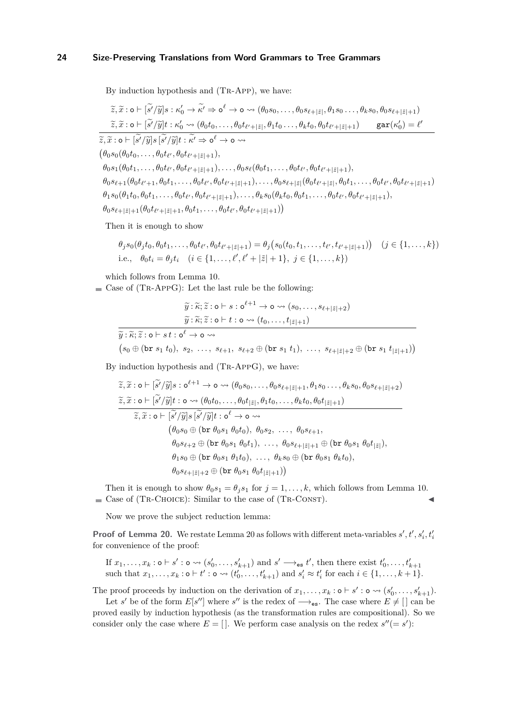By induction hypothesis and (Tr-App), we have:

$$
\tilde{z}, \tilde{x} : \mathbf{o} \vdash [\tilde{s'}/\tilde{y}]s : \kappa'_0 \to \tilde{\kappa}' \Rightarrow \mathbf{o}^{\ell} \to \mathbf{o} \leadsto (\theta_0 s_0, \dots, \theta_0 s_{\ell+|\tilde{z}|}, \theta_1 s_0 \dots, \theta_k s_0, \theta_0 s_{\ell+|\tilde{z}|+1})
$$
\n
$$
\tilde{z}, \tilde{x} : \mathbf{o} \vdash [\tilde{s'}/\tilde{y}]t : \kappa'_0 \leadsto (\theta_0 t_0, \dots, \theta_0 t_{\ell'+|\tilde{z}|}, \theta_1 t_0 \dots, \theta_k t_0, \theta_0 t_{\ell'+|\tilde{z}|+1}) \quad \text{gar}(\kappa'_0) = \ell'
$$
\n
$$
\tilde{z}, \tilde{x} : \mathbf{o} \vdash [\tilde{s'}/\tilde{y}]s [\tilde{s'}/\tilde{y}]t : \tilde{\kappa}' \Rightarrow \mathbf{o}^{\ell} \to \mathbf{o} \leadsto
$$
\n
$$
(\theta_0 s_0(\theta_0 t_0, \dots, \theta_0 t_{\ell'}, \theta_0 t_{\ell'+|\tilde{z}|+1}),
$$
\n
$$
\theta_0 s_1(\theta_0 t_1, \dots, \theta_0 t_{\ell'}, \theta_0 t_{\ell'+|\tilde{z}|+1}), \dots, \theta_0 s_{\ell}(\theta_0 t_1, \dots, \theta_0 t_{\ell'}, \theta_0 t_{\ell'+|\tilde{z}|+1}),
$$
\n
$$
\theta_0 s_{\ell+1}(\theta_0 t_{\ell'+1}, \theta_0 t_1, \dots, \theta_0 t_{\ell'}, \theta_0 t_{\ell'+|\tilde{z}|+1}), \dots, \theta_k s_0(\theta_k t_0, \theta_0 t_1, \dots, \theta_0 t_{\ell'}, \theta_0 t_{\ell'+|\tilde{z}|+1}),
$$
\n
$$
\theta_1 s_0(\theta_1 t_0, \theta_0 t_1, \dots, \theta_0 t_{\ell'}, \theta_0 t_{\ell'+|\tilde{z}|+1}), \dots, \theta_k s_0(\theta_k t_0, \theta_0 t_1, \dots, \theta_0 t_{\ell'}, \theta_0 t_{\ell'+|\tilde{z}|+1}),
$$
\n
$$
\theta_0 s_{\ell+|\tilde{
$$

Then it is enough to show

$$
\theta_j s_0(\theta_j t_0, \theta_0 t_1, \dots, \theta_0 t_{\ell'}, \theta_0 t_{\ell'+|\tilde{z}|+1}) = \theta_j (s_0(t_0, t_1, \dots, t_{\ell'}, t_{\ell'+|\tilde{z}|+1})) \quad (j \in \{1, \dots, k\})
$$
  
i.e.,  $\theta_0 t_i = \theta_j t_i \quad (i \in \{1, \dots, \ell', \ell'+|\tilde{z}|+1\}, j \in \{1, \dots, k\})$ 

which follows from Lemma [10.](#page-9-1)

 $\blacksquare$  Case of (TR-APPG): Let the last rule be the following:

 $\widetilde{y}$  :  $\widetilde{\kappa}$ ;  $\widetilde{z}$  : o  $\vdash s$  : o ${}^{\ell+1} \to$  o  $\leadsto$   $(s_0, \ldots, s_{\ell+|\tilde{z}|+2})$  $\widetilde{y}$ :  $\widetilde{\kappa}$ ;  $\widetilde{z}$ : o  $\vdash t$  : o  $\leadsto (t_0, \ldots, t_{|\widetilde{z}|+1})$  $\widetilde{y}:\widetilde{\kappa};\widetilde{z}:\mathsf{o}\vdash s\, t:\mathsf{o}^\ell\to\mathsf{o}\leadsto$  $(s_0 \oplus (\text{br } s_1 \ t_0), \ s_2, \ \ldots, \ s_{\ell+1}, \ s_{\ell+2} \oplus (\text{br } s_1 \ t_1), \ \ldots, \ s_{\ell+|\tilde{z}|+2} \oplus (\text{br } s_1 \ t_{|\tilde{z}|+1}))$ 

By induction hypothesis and (Tr-AppG), we have:

$$
\tilde{z}, \tilde{x} : \mathbf{o} \vdash [\tilde{s}'/\tilde{y}]s : \mathbf{o}^{\ell+1} \to \mathbf{o} \leadsto (\theta_0 s_0, \dots, \theta_0 s_{\ell+|\tilde{z}|+1}, \theta_1 s_0 \dots, \theta_k s_0, \theta_0 s_{\ell+|\tilde{z}|+2})
$$
\n
$$
\tilde{z}, \tilde{x} : \mathbf{o} \vdash [\tilde{s}'/\tilde{y}]t : \mathbf{o} \leadsto (\theta_0 t_0, \dots, \theta_0 t_{|\tilde{z}|}, \theta_1 t_0, \dots, \theta_k t_0, \theta_0 t_{|\tilde{z}|+1})
$$
\n
$$
\tilde{z}, \tilde{x} : \mathbf{o} \vdash [\tilde{s}'/\tilde{y}]s [\tilde{s}'/\tilde{y}]t : \mathbf{o}^{\ell} \to \mathbf{o} \leadsto
$$
\n
$$
(\theta_0 s_0 \oplus (\text{br } \theta_0 s_1 \theta_0 t_0), \theta_0 s_2, \dots, \theta_0 s_{\ell+1},
$$
\n
$$
\theta_0 s_{\ell+2} \oplus (\text{br } \theta_0 s_1 \theta_0 t_1), \dots, \theta_k s_0 \oplus (\text{br } \theta_0 s_1 \theta_k t_0),
$$
\n
$$
\theta_1 s_0 \oplus (\text{br } \theta_0 s_1 \theta_1 t_0), \dots, \theta_k s_0 \oplus (\text{br } \theta_0 s_1 \theta_k t_0),
$$
\n
$$
\theta_0 s_{\ell+|\tilde{z}|+2} \oplus (\text{br } \theta_0 s_1 \theta_0 t_{|\tilde{z}|+1})
$$

Then it is enough to show  $\theta_0 s_1 = \theta_j s_1$  for  $j = 1, \ldots, k$ , which follows from Lemma [10.](#page-9-1)  $\blacksquare$  Case of (TR-CHOICE): Similar to the case of (TR-CONST).

Now we prove the subject reduction lemma:

**Proof of Lemma [20.](#page-14-4)** We restate Lemma [20](#page-14-4) as follows with different meta-variables  $s', t', s'_i, t'_i$ for convenience of the proof:

If  $x_1, \ldots, x_k : \mathsf{o} \vdash s' : \mathsf{o} \leadsto (s'_0, \ldots, s'_{k+1})$  and  $s' \longrightarrow_{\mathsf{es}} t'$ , then there exist  $t'_0, \ldots, t'_{k+1}$ <br>such that  $x_1, \ldots, x_k : \mathsf{o} \vdash t' : \mathsf{o} \leadsto (t'_0, \ldots, t'_{k+1})$  and  $s'_i \approx t'_i$  for each  $i \in \{1, \ldots, k+1\}$ .

The proof proceeds by induction on the derivation of  $x_1, \ldots, x_k : \mathfrak{o} \vdash s' : \mathfrak{o} \leadsto (s'_0, \ldots, s'_{k+1}).$ 

Let *s'* be of the form  $E[s'']$  where *s''* is the redex of  $\longrightarrow_{es}$ . The case where  $E \neq [\ ]$  can be proved easily by induction hypothesis (as the transformation rules are compositional). So we consider only the case where  $E = []$ . We perform case analysis on the redex  $s''(= s')$ :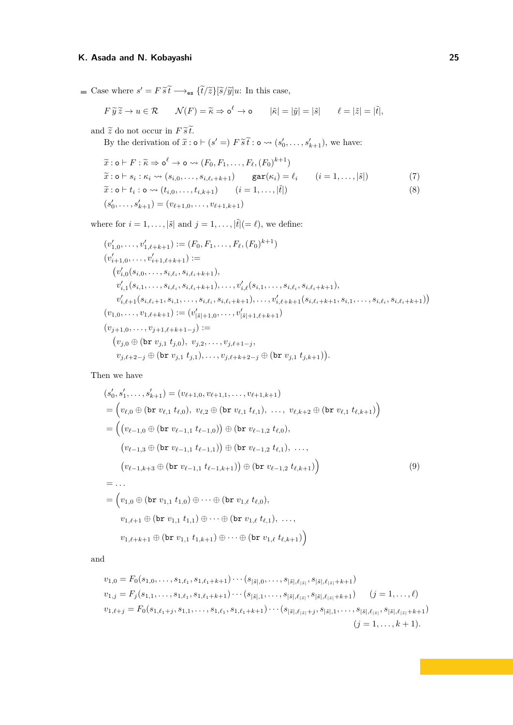Case where  $s' = F \widetilde{s} \widetilde{t} \longrightarrow_{\text{es}} {\{\widetilde{t}/\widetilde{z}\}}[\widetilde{s}/\widetilde{y}]u$ : In this case,

$$
F \widetilde{y} \widetilde{z} \to u \in \mathcal{R} \qquad \mathcal{N}(F) = \widetilde{\kappa} \Rightarrow \mathsf{o}^{\ell} \to \mathsf{o} \qquad |\widetilde{\kappa}| = |\widetilde{y}| = |\widetilde{s}| \qquad \ell = |\widetilde{z}| = |\widetilde{t}|,
$$

and  $\widetilde{z}$  do not occur in  $F \, \widetilde{s} \, \widetilde{t}.$ 

By the derivation of  $\tilde{x}$ :  $\circ \vdash (s' =) F \tilde{s} \tilde{t}$ :  $\circ \leadsto (s'_{0}, \ldots, s'_{k+1})$ , we have:

<span id="page-24-1"></span><span id="page-24-0"></span>
$$
\widetilde{x} : \mathbf{o} \vdash F : \widetilde{\kappa} \Rightarrow \mathbf{o}^{\ell} \to \mathbf{o} \rightsquigarrow (F_0, F_1, \dots, F_{\ell}, (F_0)^{k+1})
$$
  
\n
$$
\widetilde{x} : \mathbf{o} \vdash s_i : \kappa_i \rightsquigarrow (s_{i,0}, \dots, s_{i,\ell_i+k+1}) \qquad \text{gar}(\kappa_i) = \ell_i \qquad (i = 1, \dots, |\widetilde{s}|)
$$
  
\n
$$
\widetilde{x} : \mathbf{o} \vdash t_i : \mathbf{o} \rightsquigarrow (t_{i,0}, \dots, t_{i,k+1}) \qquad (i = 1, \dots, |\widetilde{t}|)
$$
  
\n
$$
(s'_0, \dots, s'_{k+1}) = (v_{\ell+1,0}, \dots, v_{\ell+1,k+1})
$$
\n(8)

where for  $i = 1, \ldots, |\tilde{s}|$  and  $j = 1, \ldots, |\tilde{t}| (= \ell)$ , we define:

$$
(v'_{1,0},\ldots,v'_{1,\ell+k+1}) := (F_0, F_1,\ldots,F_\ell,(F_0)^{k+1})
$$
  
\n
$$
(v'_{i+1,0},\ldots,v'_{i+1,\ell+k+1}) :=
$$
  
\n
$$
(v'_{i,0}(s_{i,0},\ldots,s_{i,\ell_i},s_{i,\ell_i+k+1}),
$$
  
\n
$$
v'_{i,1}(s_{i,1},\ldots,s_{i,\ell_i},s_{i,\ell_i+k+1}),\ldots,v'_{i,\ell}(s_{i,1},\ldots,s_{i,\ell_i},s_{i,\ell_i+k+1}),
$$
  
\n
$$
v'_{i,\ell+1}(s_{i,\ell_i+1},s_{i,1},\ldots,s_{i,\ell_i},s_{i,\ell_i+k+1}),\ldots,v'_{i,\ell+k+1}(s_{i,\ell_i+k+1},s_{i,1},\ldots,s_{i,\ell_i},s_{i,\ell_i+k+1}))
$$
  
\n
$$
(v_{1,0},\ldots,v_{1,\ell+k+1}) := (v'_{|\tilde{s}|+1,0},\ldots,v'_{|\tilde{s}|+1,\ell+k+1})
$$
  
\n
$$
(v_{j+1,0},\ldots,v_{j+1,\ell+k+1-j}) :=
$$
  
\n
$$
(v_{j,0} \oplus (\mathtt{br}\ v_{j,1}\ t_{j,0}),\ v_{j,2},\ldots,v_{j,\ell+k+2-j} \oplus (\mathtt{br}\ v_{j,1}\ t_{j,k+1})).
$$

Then we have

<span id="page-24-2"></span>
$$
(s'_{0}, s'_{1},...,s'_{k+1}) = (v_{\ell+1,0}, v_{\ell+1,1},...,v_{\ell+1,k+1})
$$
  
\n
$$
= (v_{\ell,0} \oplus (\text{br } v_{\ell,1} \ t_{\ell,0}), v_{\ell,2} \oplus (\text{br } v_{\ell,1} \ t_{\ell,1}), ..., v_{\ell,k+2} \oplus (\text{br } v_{\ell,1} \ t_{\ell,k+1}) )
$$
  
\n
$$
= ((v_{\ell-1,0} \oplus (\text{br } v_{\ell-1,1} \ t_{\ell-1,0})) \oplus (\text{br } v_{\ell-1,2} \ t_{\ell,0}),
$$
  
\n
$$
(v_{\ell-1,3} \oplus (\text{br } v_{\ell-1,1} \ t_{\ell-1,1})) \oplus (\text{br } v_{\ell-1,2} \ t_{\ell,1}), ...,
$$
  
\n
$$
(v_{\ell-1,k+3} \oplus (\text{br } v_{\ell-1,1} \ t_{\ell-1,k+1})) \oplus (\text{br } v_{\ell-1,2} \ t_{\ell,k+1}) )
$$
  
\n
$$
= ...
$$
  
\n
$$
= (v_{1,0} \oplus (\text{br } v_{1,1} \ t_{1,0}) \oplus ... \oplus (\text{br } v_{1,\ell} \ t_{\ell,0}),
$$
  
\n
$$
v_{1,\ell+1} \oplus (\text{br } v_{1,1} \ t_{1,1}) \oplus ... \oplus (\text{br } v_{1,\ell} \ t_{\ell,1}), ...,
$$
  
\n
$$
v_{1,\ell+k+1} \oplus (\text{br } v_{1,1} \ t_{1,k+1}) \oplus ... \oplus (\text{br } v_{1,\ell} \ t_{\ell,k+1}) )
$$
  
\n(9)

and

$$
v_{1,0} = F_0(s_{1,0},\ldots,s_{1,\ell_1},s_{1,\ell_1+k+1})\cdots(s_{|\tilde{s}|,0},\ldots,s_{|\tilde{s}|,\ell_{|\tilde{s}|}},s_{|\tilde{s}|,\ell_{|\tilde{s}|}+k+1})
$$
  
\n
$$
v_{1,j} = F_j(s_{1,1},\ldots,s_{1,\ell_1},s_{1,\ell_1+k+1})\cdots(s_{|\tilde{s}|,1},\ldots,s_{|\tilde{s}|,\ell_{|\tilde{s}|}},s_{|\tilde{s}|,\ell_{|\tilde{s}|}+k+1}) \qquad (j=1,\ldots,\ell)
$$
  
\n
$$
v_{1,\ell+j} = F_0(s_{1,\ell_1+j},s_{1,1},\ldots,s_{1,\ell_1},s_{1,\ell_1+k+1})\cdots(s_{|\tilde{s}|,\ell_{|\tilde{s}|}+j},s_{|\tilde{s}|,1},\ldots,s_{|\tilde{s}|,\ell_{|\tilde{s}|}},s_{|\tilde{s}|,\ell_{|\tilde{s}|}+k+1})
$$
  
\n
$$
(j=1,\ldots,k+1).
$$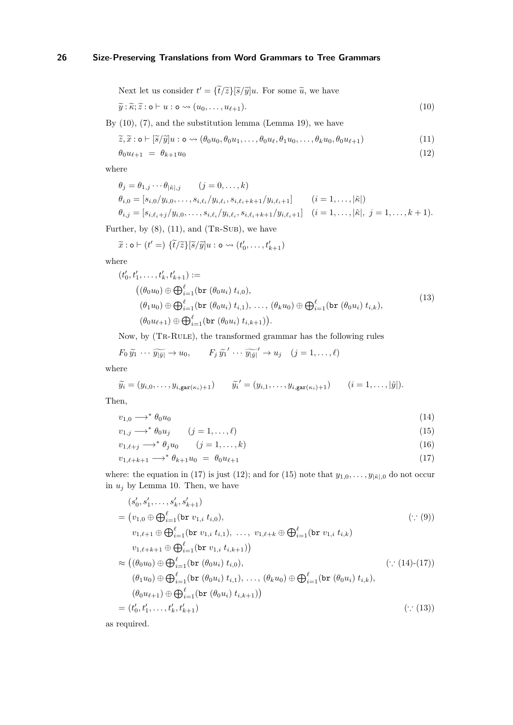<span id="page-25-0"></span>Next let us consider 
$$
t' = {\tilde{t}/\tilde{z}}{\tilde{s}/\tilde{y}}u
$$
. For some  $\tilde{u}$ , we have

$$
\widetilde{y} : \widetilde{\kappa}; \widetilde{z} : \mathsf{o} \vdash u : \mathsf{o} \leadsto (u_0, \ldots, u_{\ell+1}). \tag{10}
$$

By [\(10\)](#page-25-0), [\(7\)](#page-24-0), and the substitution lemma (Lemma [19\)](#page-14-2), we have

<span id="page-25-1"></span>
$$
\widetilde{z}, \widetilde{x} : \mathbf{o} \vdash [\widetilde{s}/\widetilde{y}]u : \mathbf{o} \leadsto (\theta_0 u_0, \theta_0 u_1, \dots, \theta_0 u_\ell, \theta_1 u_0, \dots, \theta_k u_0, \theta_0 u_{\ell+1})
$$
\n(11)

<span id="page-25-3"></span>
$$
\theta_0 u_{\ell+1} = \theta_{k+1} u_0 \tag{12}
$$

where

$$
\theta_j = \theta_{1,j} \cdots \theta_{|\tilde{\kappa}|,j} \qquad (j = 0, \ldots, k)
$$
  
\n
$$
\theta_{i,0} = [s_{i,0}/y_{i,0}, \ldots, s_{i,\ell_i}/y_{i,\ell_i}, s_{i,\ell_i+k+1}/y_{i,\ell_i+1}] \qquad (i = 1, \ldots, |\tilde{\kappa}|)
$$
  
\n
$$
\theta_{i,j} = [s_{i,\ell_i+j}/y_{i,0}, \ldots, s_{i,\ell_i}/y_{i,\ell_i}, s_{i,\ell_i+k+1}/y_{i,\ell_i+1}] \qquad (i = 1, \ldots, |\tilde{\kappa}|, j = 1, \ldots, k+1).
$$

Further, by  $(8)$ ,  $(11)$ , and  $(TR-SUB)$ , we have

<span id="page-25-6"></span>
$$
\widetilde{x} : \mathsf{o} \vdash (t' =) \{\widetilde{t}/\widetilde{z}\} [\widetilde{s}/\widetilde{y}] u : \mathsf{o} \rightsquigarrow (t'_0, \dots, t'_{k+1})
$$

where

$$
(t'_{0}, t'_{1}, \ldots, t'_{k}, t'_{k+1}) :=
$$
  
\n
$$
((\theta_{0} u_{0}) \oplus \bigoplus_{i=1}^{\ell} (\text{br } (\theta_{0} u_{i}) t_{i,0}),
$$
  
\n
$$
(\theta_{1} u_{0}) \oplus \bigoplus_{i=1}^{\ell} (\text{br } (\theta_{0} u_{i}) t_{i,1}), \ldots, (\theta_{k} u_{0}) \oplus \bigoplus_{i=1}^{\ell} (\text{br } (\theta_{0} u_{i}) t_{i,k}),
$$
  
\n
$$
(\theta_{0} u_{\ell+1}) \oplus \bigoplus_{i=1}^{\ell} (\text{br } (\theta_{0} u_{i}) t_{i,k+1})).
$$
\n(13)

Now, by (Tr-Rule), the transformed grammar has the following rules

$$
F_0 \widetilde{y_1} \cdots \widetilde{y_{|\widetilde{y}|}} \to u_0, \qquad F_j \widetilde{y_1}' \cdots \widetilde{y_{|\widetilde{y}|}}' \to u_j \quad (j = 1, ..., \ell)
$$

where

$$
\widetilde{y}_i = (y_{i,0},\ldots,y_{i,\text{gar}(\kappa_i)+1}) \qquad \widetilde{y}_i' = (y_{i,1},\ldots,y_{i,\text{gar}(\kappa_i)+1}) \qquad (i=1,\ldots,|\widetilde{y}|).
$$

Then,

$$
v_{1,0} \longrightarrow^* \theta_0 u_0 \tag{14}
$$

<span id="page-25-5"></span><span id="page-25-4"></span>
$$
v_{1,j} \longrightarrow^* \theta_0 u_j \qquad (j = 1, \dots, \ell) \tag{15}
$$

$$
v_{1,\ell+j} \longrightarrow^* \theta_j u_0 \qquad (j=1,\ldots,k)
$$
\n(16)

<span id="page-25-2"></span>
$$
v_{1,\ell+k+1} \longrightarrow^* \theta_{k+1} u_0 = \theta_0 u_{\ell+1} \tag{17}
$$

where: the equation in [\(17\)](#page-25-2) is just [\(12\)](#page-25-3); and for [\(15\)](#page-25-4) note that  $y_{1,0}, \ldots, y_{|\tilde{\kappa}|,0}$  do not occur in  $u_j$  by Lemma [10.](#page-9-1) Then, we have

$$
(s'_{0}, s'_{1},...,s'_{k}, s'_{k+1})
$$
\n
$$
= (v_{1,0} \oplus \bigoplus_{i=1}^{\ell} (\mathtt{br} v_{1,i} t_{i,0}), \qquad (\because (9))
$$
\n
$$
v_{1,\ell+1} \oplus \bigoplus_{i=1}^{\ell} (\mathtt{br} v_{1,i} t_{i,1}), ..., v_{1,\ell+k} \oplus \bigoplus_{i=1}^{\ell} (\mathtt{br} v_{1,i} t_{i,k})
$$
\n
$$
v_{1,\ell+k+1} \oplus \bigoplus_{i=1}^{\ell} (\mathtt{br} v_{1,i} t_{i,k+1})
$$
\n
$$
\approx ((\theta_{0} u_{0}) \oplus \bigoplus_{i=1}^{\ell} (\mathtt{br} (\theta_{0} u_{i}) t_{i,0}), \qquad (\because (14)-(17))
$$
\n
$$
(\theta_{1} u_{0}) \oplus \bigoplus_{i=1}^{\ell} (\mathtt{br} (\theta_{0} u_{i}) t_{i,1}), ..., (\theta_{k} u_{0}) \oplus \bigoplus_{i=1}^{\ell} (\mathtt{br} (\theta_{0} u_{i}) t_{i,k}),
$$
\n
$$
(\theta_{0} u_{\ell+1}) \oplus \bigoplus_{i=1}^{\ell} (\mathtt{br} (\theta_{0} u_{i}) t_{i,k+1}) )
$$
\n
$$
= (t'_{0}, t'_{1}, ..., t'_{k}, t'_{k+1}) \qquad (\because (13))
$$

as required.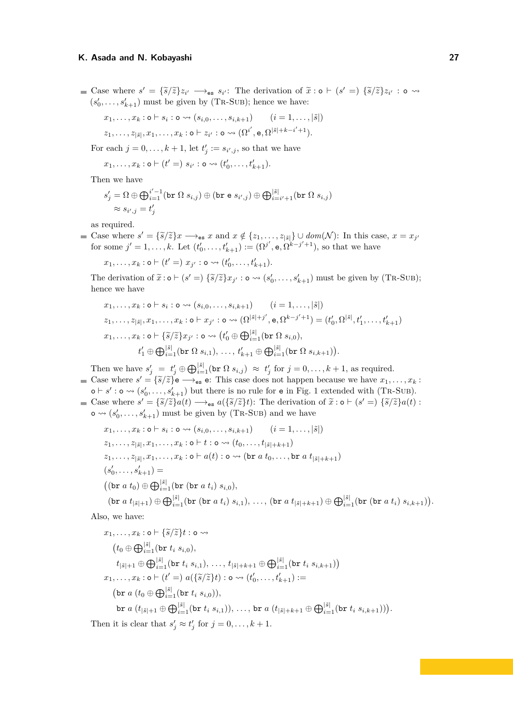Case where  $s' = {\{\tilde{s}/\tilde{z}\}z_{i'} \longrightarrow_{\mathsf{es}} s_{i'}}$ . The derivation of  $\tilde{x} : \mathsf{o} \vdash (s' =) {\{\tilde{s}/\tilde{z}\}z_{i'} : \mathsf{o} \leadsto (s' = 0\})}$  $(s'_0, \ldots, s'_{k+1})$  must be given by (TR-SUB); hence we have:

$$
x_1, \ldots, x_k : \mathsf{o} \vdash s_i : \mathsf{o} \leadsto (s_{i,0}, \ldots, s_{i,k+1}) \qquad (i = 1, \ldots, |\tilde{s}|)
$$
  

$$
z_1, \ldots, z_{|\tilde{s}|}, x_1, \ldots, x_k : \mathsf{o} \vdash z_{i'} : \mathsf{o} \leadsto (\Omega^{i'}, \mathsf{e}, \Omega^{|\tilde{s}| + k - i' + 1}).
$$

For each  $j = 0, \ldots, k + 1$ , let  $t'_j := s_{i',j}$ , so that we have

$$
x_1,\ldots,x_k:\mathsf{o}\vdash(t'=)\;s_{i'}:\mathsf{o}\leadsto(t'_0,\ldots,t'_{k+1}).
$$

Then we have

$$
s'_{j} = \Omega \oplus \bigoplus_{i=1}^{i'-1} (\text{br } \Omega s_{i,j}) \oplus (\text{br } e s_{i',j}) \oplus \bigoplus_{i=i'+1}^{|\tilde{s}|} (\text{br } \Omega s_{i,j})
$$
  

$$
\approx s_{i',j} = t'_{j}
$$

as required.

Case where  $s' = \{\tilde{s}/\tilde{z}\}x \longrightarrow_{\text{es}} x$  and  $x \notin \{z_1, \ldots, z_{|\tilde{s}|}\} \cup dom(\mathcal{N})$ : In this case,  $x = x_j$ for some  $j' = 1, ..., k$ . Let  $(t'_0, ..., t'_{k+1}) := (\Omega^{j'}, \mathbf{e}, \Omega^{k-j'+1})$ , so that we have

 $x_1, \ldots, x_k : \mathsf{o} \vdash (t' =) \ x_{j'} : \mathsf{o} \leadsto (t'_0, \ldots, t'_{k+1}).$ 

The derivation of  $\tilde{x} : \mathbf{o} \vdash (s' =) \{\tilde{s}/\tilde{z}\} x_{j'} : \mathbf{o} \leadsto (s'_0, \ldots, s'_{k+1})$  must be given by (TR-SUB); hence we have

$$
x_1, \ldots, x_k : \mathsf{o} \vdash s_i : \mathsf{o} \leadsto (s_{i,0}, \ldots, s_{i,k+1}) \qquad (i = 1, \ldots, |\tilde{s}|)
$$
  
\n
$$
z_1, \ldots, z_{|\tilde{s}|}, x_1, \ldots, x_k : \mathsf{o} \vdash x_{j'} : \mathsf{o} \leadsto (\Omega^{|\tilde{s}|+j'}, \mathsf{e}, \Omega^{k-j'+1}) = (t'_0, \Omega^{|\tilde{s}|}, t'_1, \ldots, t'_{k+1})
$$
  
\n
$$
x_1, \ldots, x_k : \mathsf{o} \vdash \{\tilde{s}/\tilde{z}\} x_{j'} : \mathsf{o} \leadsto (t'_0 \oplus \bigoplus_{i=1}^{|\tilde{s}|} (\mathtt{br} \Omega s_{i,0}),
$$
  
\n
$$
t'_1 \oplus \bigoplus_{i=1}^{|\tilde{s}|} (\mathtt{br} \Omega s_{i,1}), \ldots, t'_{k+1} \oplus \bigoplus_{i=1}^{|\tilde{s}|} (\mathtt{br} \Omega s_{i,k+1})).
$$

Then we have  $s'_j = t'_j \oplus \bigoplus_{i=1}^{|\tilde{s}|} (\text{br } \Omega s_{i,j}) \approx t'_j \text{ for } j = 0, \ldots, k+1$ , as required. Case where  $s' = {\tilde{s}/\tilde{z}}_1^e \leftrightarrow_{es}^e$  e: This case does not happen because we have  $x_1, \ldots, x_k$  :

 $\circ \vdash s' : \circ \leadsto (s'_{0}, \ldots, s'_{k+1})$  but there is no rule for  $e$  in Fig. [1](#page-7-0) extended with (TR-SUB). Case where  $s' = {\{\tilde{s}/\tilde{z}\}}a(t) \longrightarrow_{es} a({\{\tilde{s}/\tilde{z}\}}t)$ : The derivation of  $\tilde{x} : \mathfrak{o} \vdash (s' =) {\{\tilde{s}/\tilde{z}\}}a(t)$ :  $\circ \leadsto (s'_0, \ldots, s'_{k+1})$  must be given by (TR-SUB) and we have

$$
x_1, \ldots, x_k : \mathbf{o} \vdash s_i : \mathbf{o} \leadsto (s_{i,0}, \ldots, s_{i,k+1}) \qquad (i = 1, \ldots, |\tilde{s}|)
$$
  
\n
$$
z_1, \ldots, z_{|\tilde{s}|}, x_1, \ldots, x_k : \mathbf{o} \vdash t : \mathbf{o} \leadsto (t_0, \ldots, t_{|\tilde{s}|+k+1})
$$
  
\n
$$
z_1, \ldots, z_{|\tilde{s}|}, x_1, \ldots, x_k : \mathbf{o} \vdash a(t) : \mathbf{o} \leadsto (\mathbf{br} \ a \ t_0, \ldots, \mathbf{br} \ a \ t_{|\tilde{s}|+k+1})
$$
  
\n
$$
(s'_0, \ldots, s'_{k+1}) =
$$
  
\n
$$
((\mathbf{br} \ a \ t_0) \oplus \bigoplus_{i=1}^{|\tilde{s}|} (\mathbf{br} \ (\mathbf{br} \ a \ t_i) \ s_{i,0}),
$$
  
\n
$$
(\mathbf{br} \ a \ t_{|\tilde{s}|+1}) \oplus \bigoplus_{i=1}^{|\tilde{s}|} (\mathbf{br} \ (\mathbf{br} \ a \ t_i) \ s_{i,1}), \ldots, (\mathbf{br} \ a \ t_{|\tilde{s}|+k+1}) \oplus \bigoplus_{i=1}^{|\tilde{s}|} (\mathbf{br} \ (\mathbf{br} \ a \ t_i) \ s_{i,k+1})).
$$

Also, we have:

$$
x_1, \ldots, x_k : \mathsf{o} \vdash \{\tilde{s}/\tilde{z}\} t : \mathsf{o} \rightsquigarrow
$$
  
\n
$$
(t_0 \oplus \bigoplus_{i=1}^{|\tilde{s}|} [\mathsf{br} \ t_i \ s_{i,0}),
$$
  
\n
$$
t_{|\tilde{s}|+1} \oplus \bigoplus_{i=1}^{|\tilde{s}|} [\mathsf{br} \ t_i \ s_{i,1}), \ldots, t_{|\tilde{s}|+k+1} \oplus \bigoplus_{i=1}^{|\tilde{s}|} [\mathsf{br} \ t_i \ s_{i,k+1})]
$$
  
\n
$$
x_1, \ldots, x_k : \mathsf{o} \vdash (t' =) \ a(\{\tilde{s}/\tilde{z}\} t) : \mathsf{o} \rightsquigarrow (t'_0, \ldots, t'_{k+1}) :=
$$
  
\n
$$
(\mathsf{br} \ a \ (t_0 \oplus \bigoplus_{i=1}^{|\tilde{s}|} [\mathsf{br} \ t_i \ s_{i,0})),
$$
  
\n
$$
\mathsf{br} \ a \ (t_{|\tilde{s}|+1} \oplus \bigoplus_{i=1}^{|\tilde{s}|} [\mathsf{br} \ t_i \ s_{i,1})), \ldots, \mathsf{br} \ a \ (t_{|\tilde{s}|+k+1} \oplus \bigoplus_{i=1}^{|\tilde{s}|} [\mathsf{br} \ t_i \ s_{i,k+1}]).
$$

Then it is clear that  $s'_j \approx t'_j$  for  $j = 0, \ldots, k + 1$ .